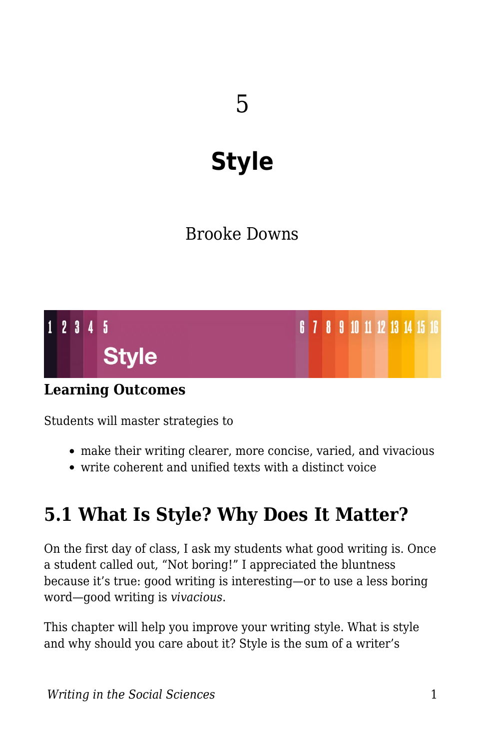# **Style**

# Brooke Downs



### **Learning Outcomes**

Students will master strategies to

- make their writing clearer, more concise, varied, and vivacious
- write coherent and unified texts with a distinct voice

# **5.1 What Is Style? Why Does It Matter?**

On the first day of class, I ask my students what good writing is. Once a student called out, "Not boring!" I appreciated the bluntness because it's true: good writing is interesting—or to use a less boring word—good writing is *vivacious*.

This chapter will help you improve your writing style. What is style and why should you care about it? Style is the sum of a writer's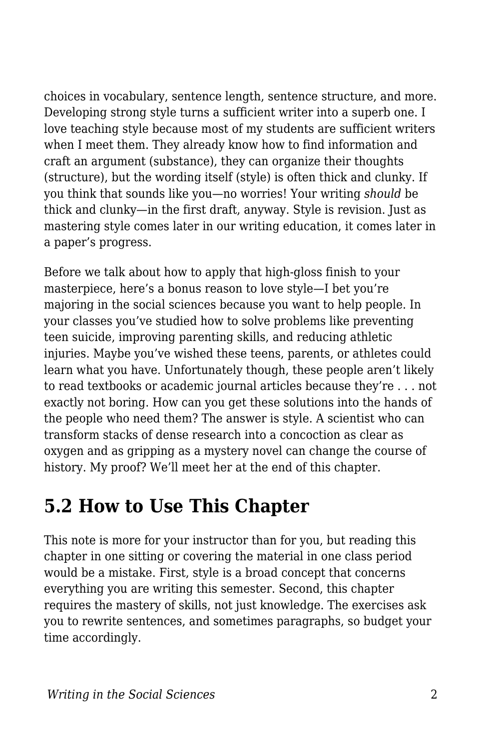choices in vocabulary, sentence length, sentence structure, and more. Developing strong style turns a sufficient writer into a superb one. I love teaching style because most of my students are sufficient writers when I meet them. They already know how to find information and craft an argument (substance), they can organize their thoughts (structure), but the wording itself (style) is often thick and clunky. If you think that sounds like you—no worries! Your writing *should* be thick and clunky—in the first draft, anyway. Style is revision. Just as mastering style comes later in our writing education, it comes later in a paper's progress.

Before we talk about how to apply that high-gloss finish to your masterpiece, here's a bonus reason to love style—I bet you're majoring in the social sciences because you want to help people. In your classes you've studied how to solve problems like preventing teen suicide, improving parenting skills, and reducing athletic injuries. Maybe you've wished these teens, parents, or athletes could learn what you have. Unfortunately though, these people aren't likely to read textbooks or academic journal articles because they're . . . not exactly not boring. How can you get these solutions into the hands of the people who need them? The answer is style. A scientist who can transform stacks of dense research into a concoction as clear as oxygen and as gripping as a mystery novel can change the course of history. My proof? We'll meet her at the end of this chapter.

# **5.2 How to Use This Chapter**

This note is more for your instructor than for you, but reading this chapter in one sitting or covering the material in one class period would be a mistake. First, style is a broad concept that concerns everything you are writing this semester. Second, this chapter requires the mastery of skills, not just knowledge. The exercises ask you to rewrite sentences, and sometimes paragraphs, so budget your time accordingly.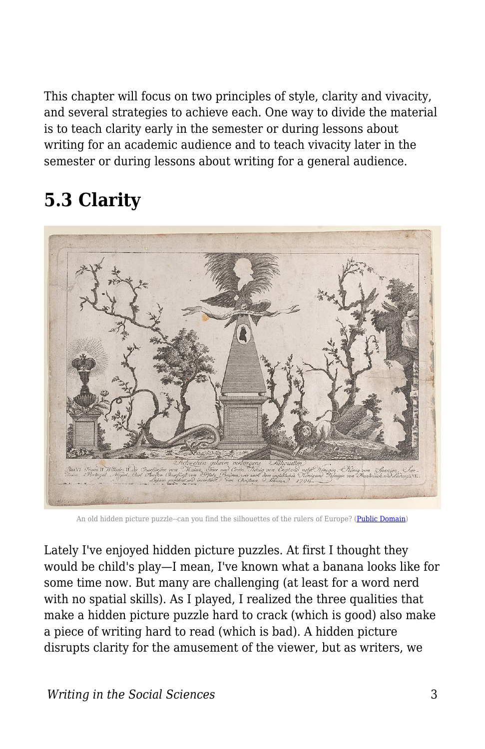This chapter will focus on two principles of style, clarity and vivacity, and several strategies to achieve each. One way to divide the material is to teach clarity early in the semester or during lessons about writing for an academic audience and to teach vivacity later in the semester or during lessons about writing for a general audience.

# **5.3 Clarity**



An old hidden picture puzzle--can you find the silhouettes of the rulers of Europe? [\(Public Domain](https://commons.wikimedia.org/wiki/File:Hidden_silhouettes_of_the_rulers_of_Europe_Met_DP886285.jpg))

Lately I've enjoyed hidden picture puzzles. At first I thought they would be child's play—I mean, I've known what a banana looks like for some time now. But many are challenging (at least for a word nerd with no spatial skills). As I played, I realized the three qualities that make a hidden picture puzzle hard to crack (which is good) also make a piece of writing hard to read (which is bad). A hidden picture disrupts clarity for the amusement of the viewer, but as writers, we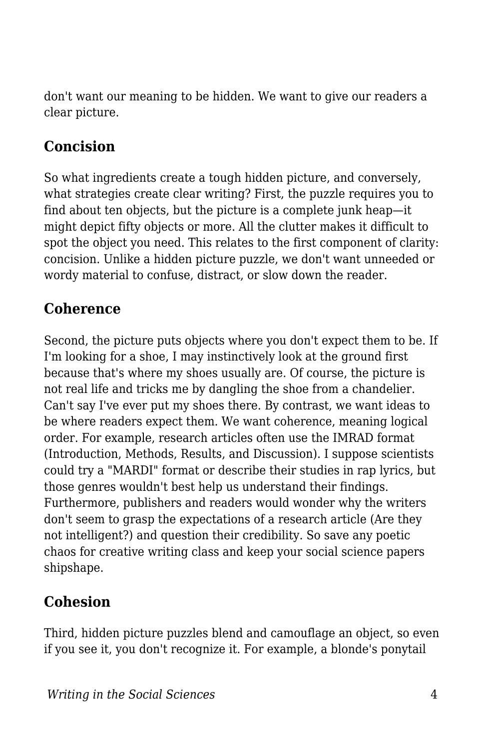don't want our meaning to be hidden. We want to give our readers a clear picture.

### **Concision**

So what ingredients create a tough hidden picture, and conversely, what strategies create clear writing? First, the puzzle requires you to find about ten objects, but the picture is a complete junk heap—it might depict fifty objects or more. All the clutter makes it difficult to spot the object you need. This relates to the first component of clarity: concision. Unlike a hidden picture puzzle, we don't want unneeded or wordy material to confuse, distract, or slow down the reader.

# **Coherence**

Second, the picture puts objects where you don't expect them to be. If I'm looking for a shoe, I may instinctively look at the ground first because that's where my shoes usually are. Of course, the picture is not real life and tricks me by dangling the shoe from a chandelier. Can't say I've ever put my shoes there. By contrast, we want ideas to be where readers expect them. We want coherence, meaning logical order. For example, research articles often use the IMRAD format (Introduction, Methods, Results, and Discussion). I suppose scientists could try a "MARDI" format or describe their studies in rap lyrics, but those genres wouldn't best help us understand their findings. Furthermore, publishers and readers would wonder why the writers don't seem to grasp the expectations of a research article (Are they not intelligent?) and question their credibility. So save any poetic chaos for creative writing class and keep your social science papers shipshape.

### **Cohesion**

Third, hidden picture puzzles blend and camouflage an object, so even if you see it, you don't recognize it. For example, a blonde's ponytail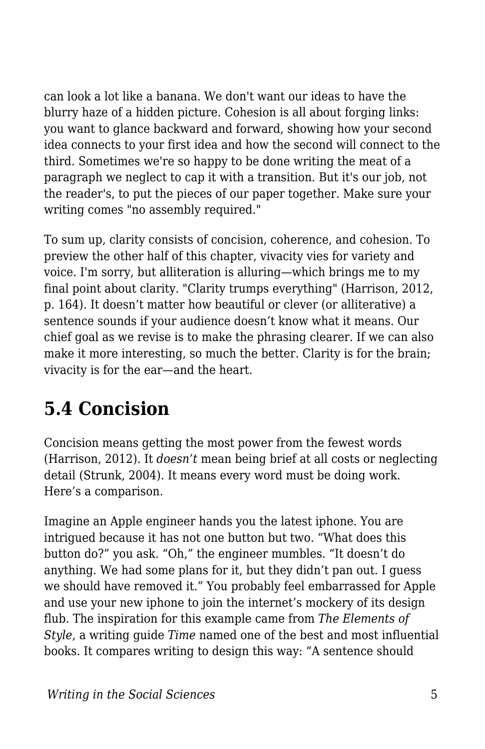can look a lot like a banana. We don't want our ideas to have the blurry haze of a hidden picture. Cohesion is all about forging links: you want to glance backward and forward, showing how your second idea connects to your first idea and how the second will connect to the third. Sometimes we're so happy to be done writing the meat of a paragraph we neglect to cap it with a transition. But it's our job, not the reader's, to put the pieces of our paper together. Make sure your writing comes "no assembly required."

To sum up, clarity consists of concision, coherence, and cohesion. To preview the other half of this chapter, vivacity vies for variety and voice. I'm sorry, but alliteration is alluring—which brings me to my final point about clarity. "Clarity trumps everything" (Harrison, 2012, p. 164). It doesn't matter how beautiful or clever (or alliterative) a sentence sounds if your audience doesn't know what it means. Our chief goal as we revise is to make the phrasing clearer. If we can also make it more interesting, so much the better. Clarity is for the brain; vivacity is for the ear—and the heart.

# **5.4 Concision**

Concision means getting the most power from the fewest words (Harrison, 2012). It *doesn't* mean being brief at all costs or neglecting detail (Strunk, 2004). It means every word must be doing work. Here's a comparison.

Imagine an Apple engineer hands you the latest iphone. You are intrigued because it has not one button but two. "What does this button do?" you ask. "Oh," the engineer mumbles. "It doesn't do anything. We had some plans for it, but they didn't pan out. I guess we should have removed it." You probably feel embarrassed for Apple and use your new iphone to join the internet's mockery of its design flub. The inspiration for this example came from *The Elements of Style*, a writing guide *Time* named one of the best and most influential books. It compares writing to design this way: "A sentence should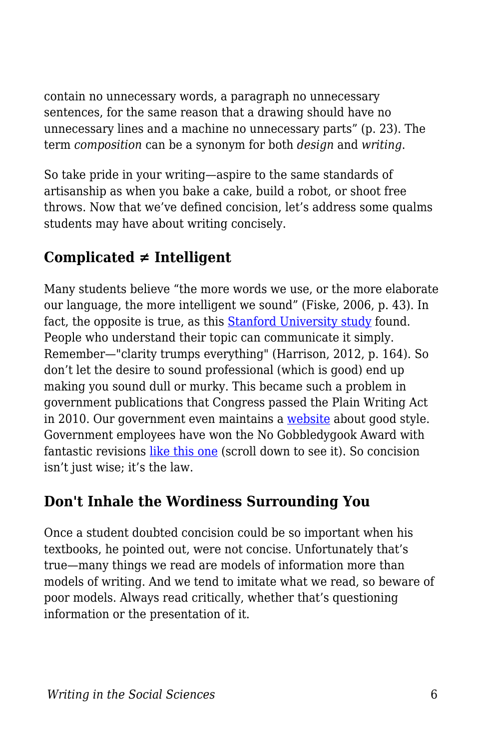contain no unnecessary words, a paragraph no unnecessary sentences, for the same reason that a drawing should have no unnecessary lines and a machine no unnecessary parts" (p. 23). The term *composition* can be a synonym for both *design* and *writing*.

So take pride in your writing—aspire to the same standards of artisanship as when you bake a cake, build a robot, or shoot free throws. Now that we've defined concision, let's address some qualms students may have about writing concisely.

# **Complicated ≠ Intelligent**

Many students believe "the more words we use, or the more elaborate our language, the more intelligent we sound" (Fiske, 2006, p. 43). In fact, the opposite is true, as this [Stanford University study](https://www.businessinsider.com/use-simple-language-to-sound-smarter-2015-9) found. People who understand their topic can communicate it simply. Remember—"clarity trumps everything" (Harrison, 2012, p. 164). So don't let the desire to sound professional (which is good) end up making you sound dull or murky. This became such a problem in government publications that Congress passed the Plain Writing Act in 2010. Our government even maintains a [website](https://plainlanguage.gov/) about good style. Government employees have won the No Gobbledygook Award with fantastic revisions [like this one](https://www.plainlanguage.gov/examples/awards/award-3/) (scroll down to see it). So concision isn't just wise; it's the law.

### **Don't Inhale the Wordiness Surrounding You**

Once a student doubted concision could be so important when his textbooks, he pointed out, were not concise. Unfortunately that's true—many things we read are models of information more than models of writing. And we tend to imitate what we read, so beware of poor models. Always read critically, whether that's questioning information or the presentation of it.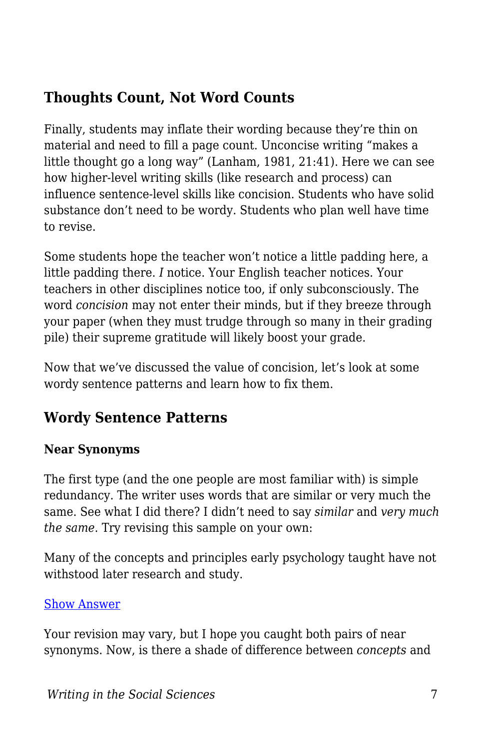# **Thoughts Count, Not Word Counts**

Finally, students may inflate their wording because they're thin on material and need to fill a page count. Unconcise writing "makes a little thought go a long way" (Lanham, 1981, 21:41). Here we can see how higher-level writing skills (like research and process) can influence sentence-level skills like concision. Students who have solid substance don't need to be wordy. Students who plan well have time to revise.

Some students hope the teacher won't notice a little padding here, a little padding there. *I* notice. Your English teacher notices. Your teachers in other disciplines notice too, if only subconsciously. The word *concision* may not enter their minds, but if they breeze through your paper (when they must trudge through so many in their grading pile) their supreme gratitude will likely boost your grade.

Now that we've discussed the value of concision, let's look at some wordy sentence patterns and learn how to fix them.

### **Wordy Sentence Patterns**

#### **Near Synonyms**

The first type (and the one people are most familiar with) is simple redundancy. The writer uses words that are similar or very much the same. See what I did there? I didn't need to say *similar* and *very much the same*. Try revising this sample on your own:

Many of the concepts and principles early psychology taught have not withstood later research and study.

#### [Show Answer](https://edtechbooks.org/)

Your revision may vary, but I hope you caught both pairs of near synonyms. Now, is there a shade of difference between *concepts* and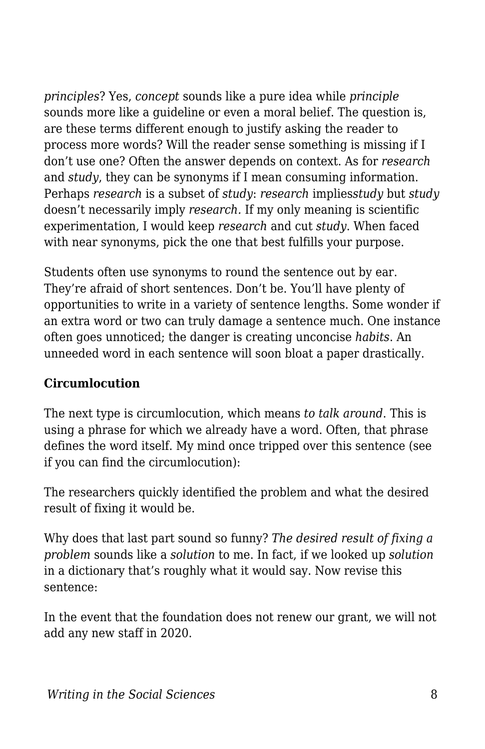*principles*? Yes, *concept* sounds like a pure idea while *principle* sounds more like a guideline or even a moral belief. The question is, are these terms different enough to justify asking the reader to process more words? Will the reader sense something is missing if I don't use one? Often the answer depends on context. As for *research* and *study*, they can be synonyms if I mean consuming information. Perhaps *research* is a subset of *study*: *research* implies*study* but *study* doesn't necessarily imply *research.* If my only meaning is scientific experimentation, I would keep *research* and cut *study*. When faced with near synonyms, pick the one that best fulfills your purpose.

Students often use synonyms to round the sentence out by ear. They're afraid of short sentences. Don't be. You'll have plenty of opportunities to write in a variety of sentence lengths. Some wonder if an extra word or two can truly damage a sentence much. One instance often goes unnoticed; the danger is creating unconcise *habits*. An unneeded word in each sentence will soon bloat a paper drastically.

#### **Circumlocution**

The next type is circumlocution, which means *to talk around*. This is using a phrase for which we already have a word. Often, that phrase defines the word itself. My mind once tripped over this sentence (see if you can find the circumlocution):

The researchers quickly identified the problem and what the desired result of fixing it would be.

Why does that last part sound so funny? *The desired result of fixing a problem* sounds like a *solution* to me. In fact, if we looked up *solution* in a dictionary that's roughly what it would say. Now revise this sentence:

In the event that the foundation does not renew our grant, we will not add any new staff in 2020.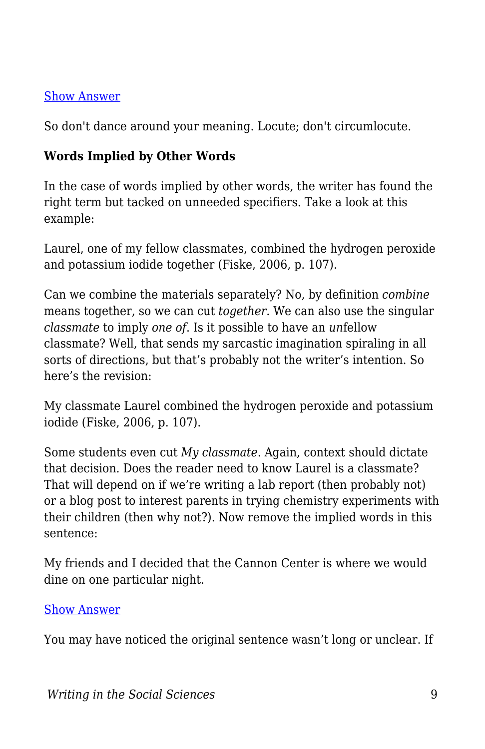#### [Show Answer](https://edtechbooks.org/)

So don't dance around your meaning. Locute; don't circumlocute.

#### **Words Implied by Other Words**

In the case of words implied by other words, the writer has found the right term but tacked on unneeded specifiers. Take a look at this example:

Laurel, one of my fellow classmates, combined the hydrogen peroxide and potassium iodide together (Fiske, 2006, p. 107).

Can we combine the materials separately? No, by definition *combine* means together, so we can cut *together*. We can also use the singular *classmate* to imply *one of*. Is it possible to have an *un*fellow classmate? Well, that sends my sarcastic imagination spiraling in all sorts of directions, but that's probably not the writer's intention. So here's the revision:

My classmate Laurel combined the hydrogen peroxide and potassium iodide (Fiske, 2006, p. 107).

Some students even cut *My classmate*. Again, context should dictate that decision. Does the reader need to know Laurel is a classmate? That will depend on if we're writing a lab report (then probably not) or a blog post to interest parents in trying chemistry experiments with their children (then why not?). Now remove the implied words in this sentence:

My friends and I decided that the Cannon Center is where we would dine on one particular night.

#### [Show Answer](https://edtechbooks.org/)

You may have noticed the original sentence wasn't long or unclear. If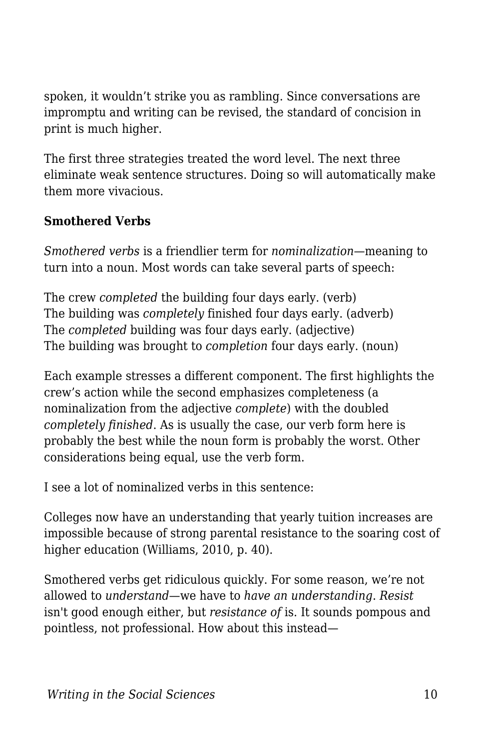spoken, it wouldn't strike you as rambling. Since conversations are impromptu and writing can be revised, the standard of concision in print is much higher.

The first three strategies treated the word level. The next three eliminate weak sentence structures. Doing so will automatically make them more vivacious.

#### **Smothered Verbs**

*Smothered verbs* is a friendlier term for *nominalization*—meaning to turn into a noun. Most words can take several parts of speech:

The crew *completed* the building four days early. (verb) The building was *completely* finished four days early. (adverb) The *completed* building was four days early. (adjective) The building was brought to *completion* four days early. (noun)

Each example stresses a different component. The first highlights the crew's action while the second emphasizes completeness (a nominalization from the adjective *complete*) with the doubled *completely finished*. As is usually the case, our verb form here is probably the best while the noun form is probably the worst. Other considerations being equal, use the verb form.

I see a lot of nominalized verbs in this sentence:

Colleges now have an understanding that yearly tuition increases are impossible because of strong parental resistance to the soaring cost of higher education (Williams, 2010, p. 40).

Smothered verbs get ridiculous quickly. For some reason, we're not allowed to *understand*—we have to *have an understanding*. *Resist* isn't good enough either, but *resistance of* is. It sounds pompous and pointless, not professional. How about this instead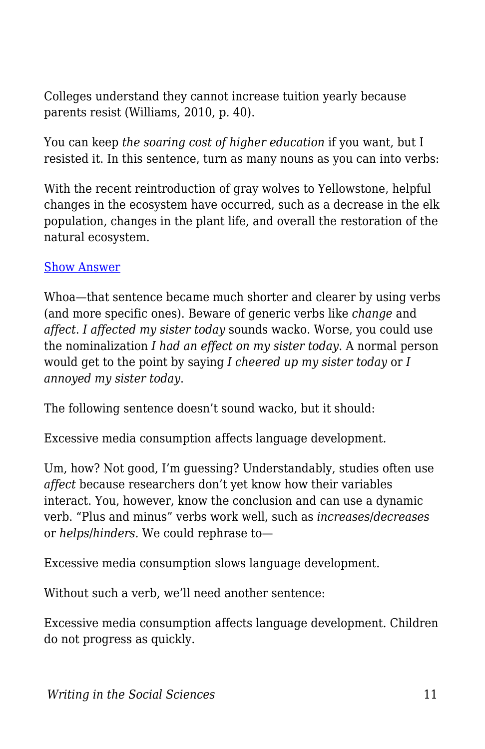Colleges understand they cannot increase tuition yearly because parents resist (Williams, 2010, p. 40).

You can keep *the soaring cost of higher education* if you want, but I resisted it. In this sentence, turn as many nouns as you can into verbs:

With the recent reintroduction of gray wolves to Yellowstone, helpful changes in the ecosystem have occurred, such as a decrease in the elk population, changes in the plant life, and overall the restoration of the natural ecosystem.

#### [Show Answer](https://edtechbooks.org/)

Whoa—that sentence became much shorter and clearer by using verbs (and more specific ones). Beware of generic verbs like *change* and *affect*. *I affected my sister today* sounds wacko. Worse, you could use the nominalization *I had an effect on my sister today*. A normal person would get to the point by saying *I cheered up my sister today* or *I annoyed my sister today*.

The following sentence doesn't sound wacko, but it should:

Excessive media consumption affects language development.

Um, how? Not good, I'm guessing? Understandably, studies often use *affect* because researchers don't yet know how their variables interact. You, however, know the conclusion and can use a dynamic verb. "Plus and minus" verbs work well, such as *increases*/*decreases* or *helps*/*hinders*. We could rephrase to—

Excessive media consumption slows language development.

Without such a verb, we'll need another sentence:

Excessive media consumption affects language development. Children do not progress as quickly.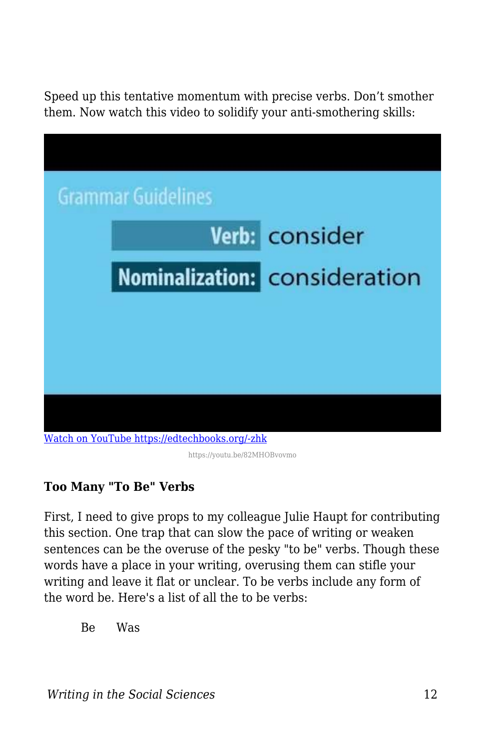Speed up this tentative momentum with precise verbs. Don't smother them. Now watch this video to solidify your anti-smothering skills:

| <b>Grammar Guidelines</b>                     |
|-----------------------------------------------|
| Verb: consider                                |
| Nominalization: consideration                 |
|                                               |
|                                               |
|                                               |
| Watch on YouTube https://edtechbooks.org/-zhk |

https://youtu.be/82MHOBvovmo

#### **Too Many "To Be" Verbs**

First, I need to give props to my colleague Julie Haupt for contributing this section. One trap that can slow the pace of writing or weaken sentences can be the overuse of the pesky "to be" verbs. Though these words have a place in your writing, overusing them can stifle your writing and leave it flat or unclear. To be verbs include any form of the word be. Here's a list of all the to be verbs:

Be Was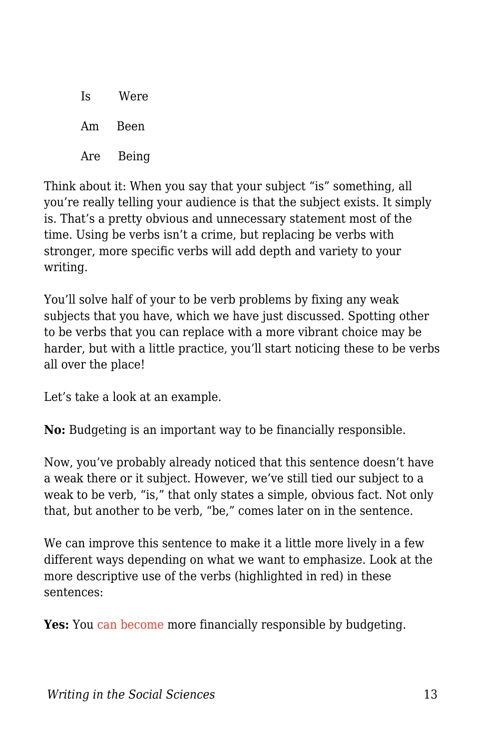| Is  | Were  |
|-----|-------|
| Am  | Been  |
| Are | Being |

Think about it: When you say that your subject "is" something, all you're really telling your audience is that the subject exists. It simply is. That's a pretty obvious and unnecessary statement most of the time. Using be verbs isn't a crime, but replacing be verbs with stronger, more specific verbs will add depth and variety to your writing.

You'll solve half of your to be verb problems by fixing any weak subjects that you have, which we have just discussed. Spotting other to be verbs that you can replace with a more vibrant choice may be harder, but with a little practice, you'll start noticing these to be verbs all over the place!

Let's take a look at an example.

**No:** Budgeting is an important way to be financially responsible.

Now, you've probably already noticed that this sentence doesn't have a weak there or it subject. However, we've still tied our subject to a weak to be verb, "is," that only states a simple, obvious fact. Not only that, but another to be verb, "be," comes later on in the sentence.

We can improve this sentence to make it a little more lively in a few different ways depending on what we want to emphasize. Look at the more descriptive use of the verbs (highlighted in red) in these sentences:

**Yes:** You can become more financially responsible by budgeting.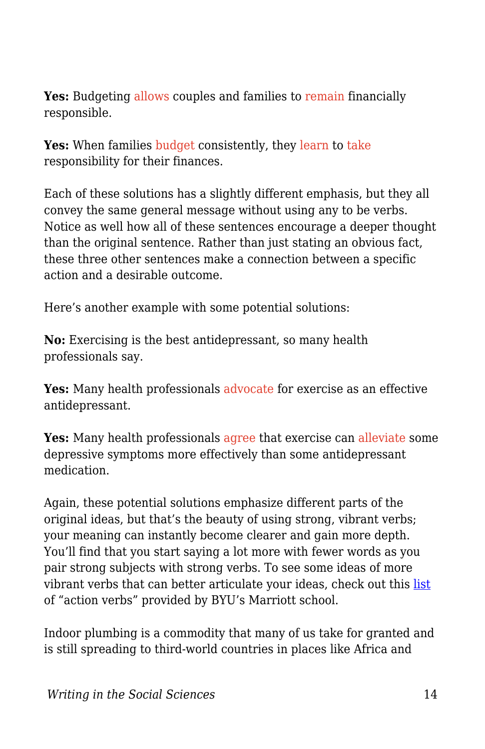**Yes:** Budgeting allows couples and families to remain financially responsible.

**Yes:** When families budget consistently, they learn to take responsibility for their finances.

Each of these solutions has a slightly different emphasis, but they all convey the same general message without using any to be verbs. Notice as well how all of these sentences encourage a deeper thought than the original sentence. Rather than just stating an obvious fact, these three other sentences make a connection between a specific action and a desirable outcome.

Here's another example with some potential solutions:

**No:** Exercising is the best antidepressant, so many health professionals say.

Yes: Many health professionals advocate for exercise as an effective antidepressant.

Yes: Many health professionals agree that exercise can alleviate some depressive symptoms more effectively than some antidepressant medication.

Again, these potential solutions emphasize different parts of the original ideas, but that's the beauty of using strong, vibrant verbs; your meaning can instantly become clearer and gain more depth. You'll find that you start saying a lot more with fewer words as you pair strong subjects with strong verbs. To see some ideas of more vibrant verbs that can better articulate your ideas, check out this [list](https://marriottschool.byu.edu/internships/resumes/action-verbs/) of "action verbs" provided by BYU's Marriott school.

Indoor plumbing is a commodity that many of us take for granted and is still spreading to third-world countries in places like Africa and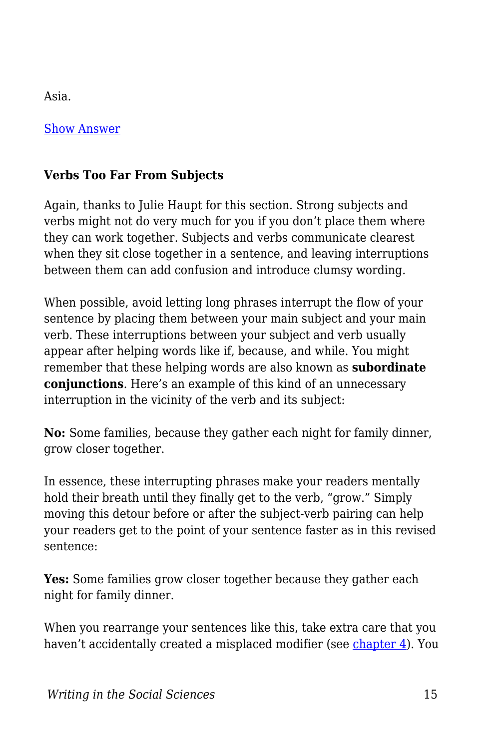Asia.

[Show Answer](https://edtechbooks.org/)

#### **Verbs Too Far From Subjects**

Again, thanks to Julie Haupt for this section. Strong subjects and verbs might not do very much for you if you don't place them where they can work together. Subjects and verbs communicate clearest when they sit close together in a sentence, and leaving interruptions between them can add confusion and introduce clumsy wording.

When possible, avoid letting long phrases interrupt the flow of your sentence by placing them between your main subject and your main verb. These interruptions between your subject and verb usually appear after helping words like if, because, and while. You might remember that these helping words are also known as **subordinate conjunctions**. Here's an example of this kind of an unnecessary interruption in the vicinity of the verb and its subject:

**No:** Some families, because they gather each night for family dinner, grow closer together.

In essence, these interrupting phrases make your readers mentally hold their breath until they finally get to the verb, "grow." Simply moving this detour before or after the subject-verb pairing can help your readers get to the point of your sentence faster as in this revised sentence:

**Yes:** Some families grow closer together because they gather each night for family dinner.

When you rearrange your sentences like this, take extra care that you haven't accidentally created a misplaced modifier (see [chapter 4](https://edtechbooks.org/writing/grammar_mechanics)). You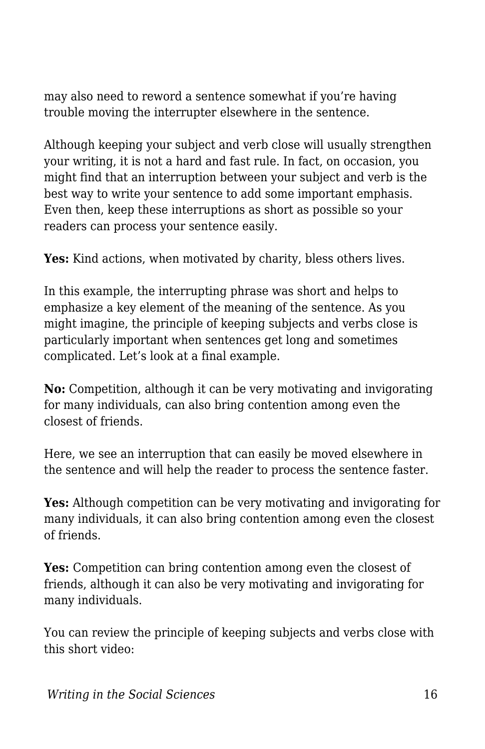may also need to reword a sentence somewhat if you're having trouble moving the interrupter elsewhere in the sentence.

Although keeping your subject and verb close will usually strengthen your writing, it is not a hard and fast rule. In fact, on occasion, you might find that an interruption between your subject and verb is the best way to write your sentence to add some important emphasis. Even then, keep these interruptions as short as possible so your readers can process your sentence easily.

**Yes:** Kind actions, when motivated by charity, bless others lives.

In this example, the interrupting phrase was short and helps to emphasize a key element of the meaning of the sentence. As you might imagine, the principle of keeping subjects and verbs close is particularly important when sentences get long and sometimes complicated. Let's look at a final example.

**No:** Competition, although it can be very motivating and invigorating for many individuals, can also bring contention among even the closest of friends.

Here, we see an interruption that can easily be moved elsewhere in the sentence and will help the reader to process the sentence faster.

Yes: Although competition can be very motivating and invigorating for many individuals, it can also bring contention among even the closest of friends.

**Yes:** Competition can bring contention among even the closest of friends, although it can also be very motivating and invigorating for many individuals.

You can review the principle of keeping subjects and verbs close with this short video: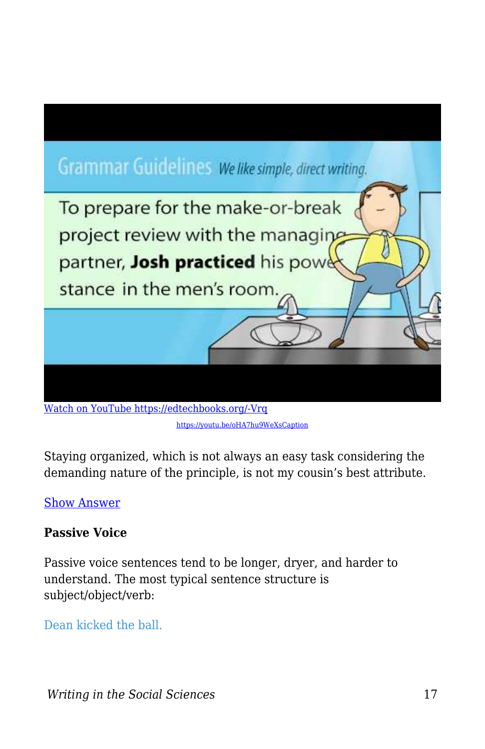

[Watch on YouTube https://edtechbooks.org/-Vrq](https://www.youtube.com/embed/oHA7hu9WeXs?autoplay=1&rel=0&showinfo=0&modestbranding=1) [https://youtu.be/oHA7hu9WeXsCaption](https://youtu.be/oHA7hu9WeXs)

Staying organized, which is not always an easy task considering the demanding nature of the principle, is not my cousin's best attribute.

#### [Show Answer](https://edtechbooks.org/)

#### **Passive Voice**

Passive voice sentences tend to be longer, dryer, and harder to understand. The most typical sentence structure is subject/object/verb:

Dean kicked the ball.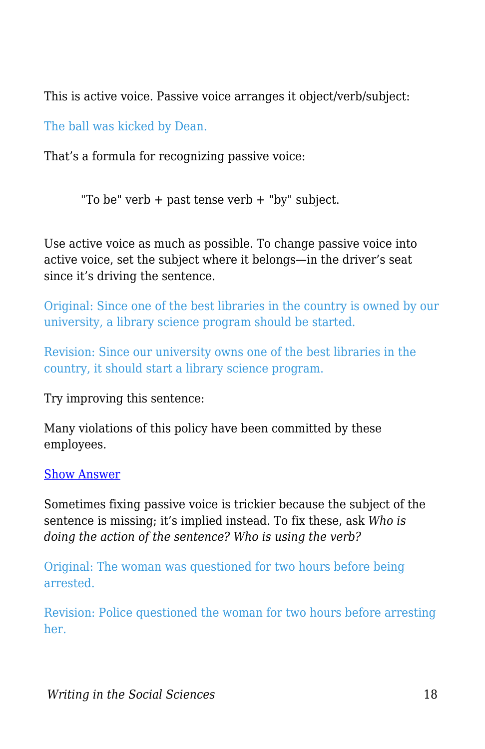This is active voice. Passive voice arranges it object/verb/subject:

The ball was kicked by Dean.

That's a formula for recognizing passive voice:

"To be" verb + past tense verb + "by" subject.

Use active voice as much as possible. To change passive voice into active voice, set the subject where it belongs—in the driver's seat since it's driving the sentence.

Original: Since one of the best libraries in the country is owned by our university, a library science program should be started.

Revision: Since our university owns one of the best libraries in the country, it should start a library science program.

Try improving this sentence:

Many violations of this policy have been committed by these employees.

#### [Show Answer](https://edtechbooks.org/)

Sometimes fixing passive voice is trickier because the subject of the sentence is missing; it's implied instead. To fix these, ask *Who is doing the action of the sentence? Who is using the verb?*

Original: The woman was questioned for two hours before being arrested.

Revision: Police questioned the woman for two hours before arresting her.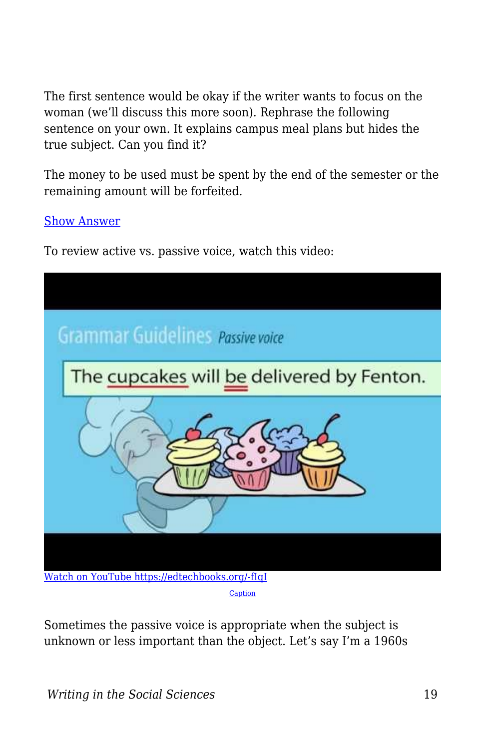The first sentence would be okay if the writer wants to focus on the woman (we'll discuss this more soon). Rephrase the following sentence on your own. It explains campus meal plans but hides the true subject. Can you find it?

The money to be used must be spent by the end of the semester or the remaining amount will be forfeited.

[Show Answer](https://edtechbooks.org/)

To review active vs. passive voice, watch this video:



Sometimes the passive voice is appropriate when the subject is unknown or less important than the object. Let's say I'm a 1960s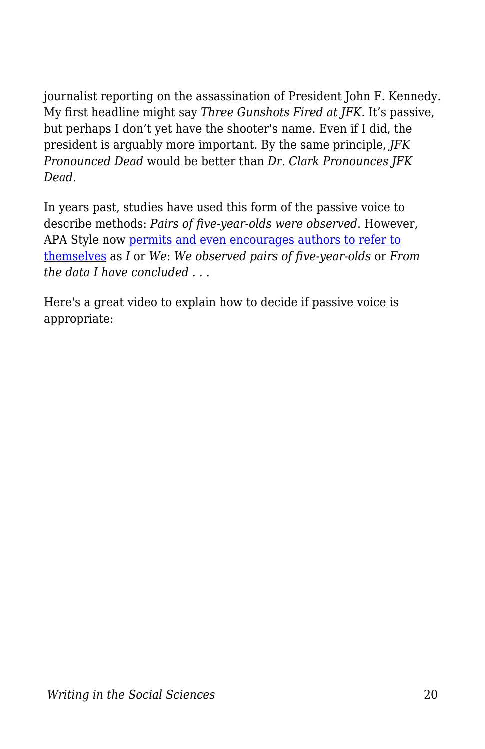journalist reporting on the assassination of President John F. Kennedy. My first headline might say *Three Gunshots Fired at JFK.* It's passive, but perhaps I don't yet have the shooter's name. Even if I did, the president is arguably more important. By the same principle, *JFK Pronounced Dead* would be better than *Dr. Clark Pronounces JFK Dead.*

In years past, studies have used this form of the passive voice to describe methods: *Pairs of five-year-olds were observed*. However, APA Style now [permits and even encourages authors to refer to](https://owl.purdue.edu/owl/research_and_citation/apa_style/apa_formatting_and_style_guide/apa_stylistics_basics.html) [themselves](https://owl.purdue.edu/owl/research_and_citation/apa_style/apa_formatting_and_style_guide/apa_stylistics_basics.html) as *I* or *We*: *We observed pairs of five-year-olds* or *From the data I have concluded . . .*

Here's a great video to explain how to decide if passive voice is appropriate: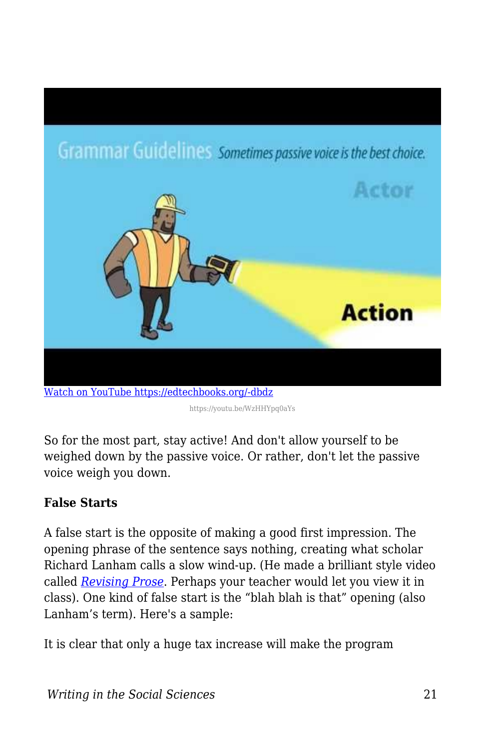

https://youtu.be/WzHHYpq0aYs

So for the most part, stay active! And don't allow yourself to be weighed down by the passive voice. Or rather, don't let the passive voice weigh you down.

#### **False Starts**

A false start is the opposite of making a good first impression. The opening phrase of the sentence says nothing, creating what scholar Richard Lanham calls a slow wind-up. (He made a brilliant style video called *[Revising Prose](https://www.youtube.com/watch?v=YpRnAJuy-Ck)*. Perhaps your teacher would let you view it in class). One kind of false start is the "blah blah is that" opening (also Lanham's term). Here's a sample:

It is clear that only a huge tax increase will make the program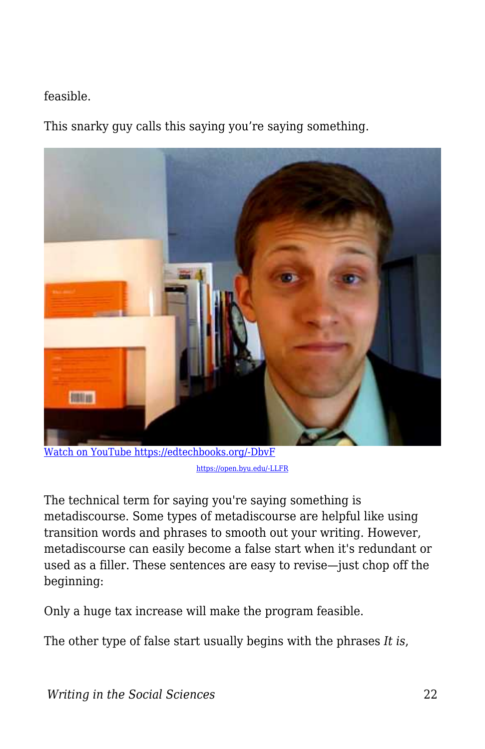#### feasible.

This snarky guy calls this saying you're saying something.



[Watch on YouTube https://edtechbooks.org/-DbvF](https://www.youtube.com/embed/cqRhnwl5y4I?autoplay=1&rel=0&showinfo=0&modestbranding=1) [https://open.byu.edu/-LLFR](https://edtechbooks.org/writing/%20https:/youtu.be/cqRhnwl5y4I)

The technical term for saying you're saying something is metadiscourse. Some types of metadiscourse are helpful like using transition words and phrases to smooth out your writing. However, metadiscourse can easily become a false start when it's redundant or used as a filler. These sentences are easy to revise—just chop off the beginning:

Only a huge tax increase will make the program feasible.

The other type of false start usually begins with the phrases *It is*,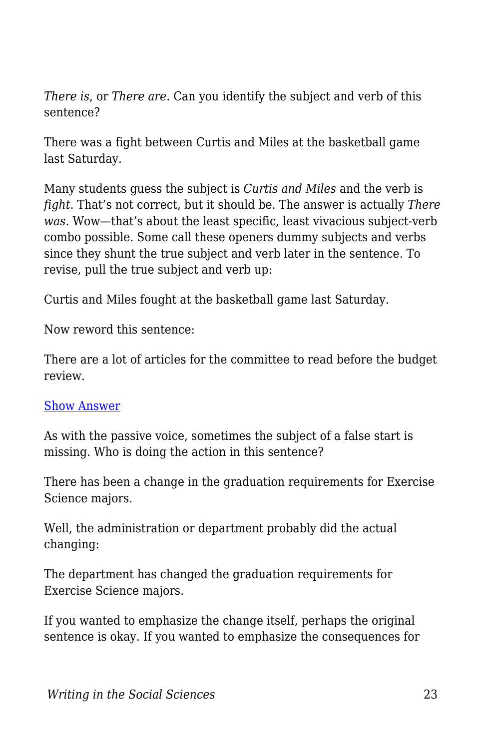*There is*, or *There are*. Can you identify the subject and verb of this sentence?

There was a fight between Curtis and Miles at the basketball game last Saturday.

Many students guess the subject is *Curtis and Miles* and the verb is *fight*. That's not correct, but it should be. The answer is actually *There was*. Wow—that's about the least specific, least vivacious subject-verb combo possible. Some call these openers dummy subjects and verbs since they shunt the true subject and verb later in the sentence. To revise, pull the true subject and verb up:

Curtis and Miles fought at the basketball game last Saturday.

Now reword this sentence:

There are a lot of articles for the committee to read before the budget review.

#### [Show Answer](https://edtechbooks.org/)

As with the passive voice, sometimes the subject of a false start is missing. Who is doing the action in this sentence?

There has been a change in the graduation requirements for Exercise Science majors.

Well, the administration or department probably did the actual changing:

The department has changed the graduation requirements for Exercise Science majors.

If you wanted to emphasize the change itself, perhaps the original sentence is okay. If you wanted to emphasize the consequences for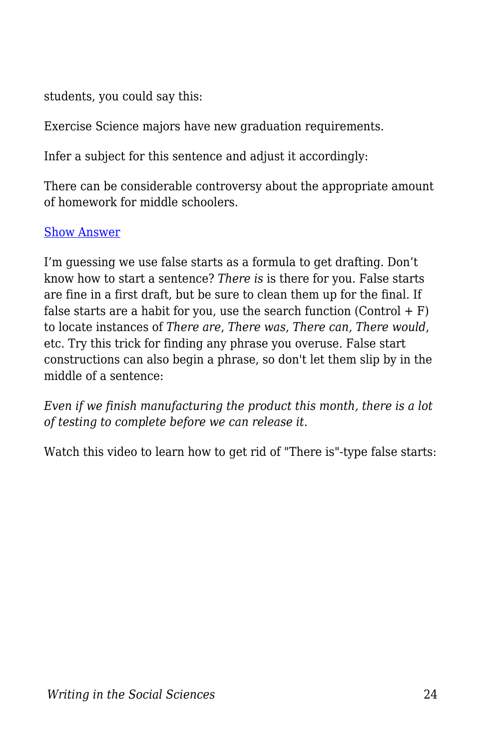students, you could say this:

Exercise Science majors have new graduation requirements.

Infer a subject for this sentence and adjust it accordingly:

There can be considerable controversy about the appropriate amount of homework for middle schoolers.

#### [Show Answer](https://edtechbooks.org/)

I'm guessing we use false starts as a formula to get drafting. Don't know how to start a sentence? *There is* is there for you. False starts are fine in a first draft, but be sure to clean them up for the final. If false starts are a habit for you, use the search function  $(Control + F)$ to locate instances of *There are*, *There was*, *There can, There would*, etc. Try this trick for finding any phrase you overuse. False start constructions can also begin a phrase, so don't let them slip by in the middle of a sentence:

*Even if we finish manufacturing the product this month, there is a lot of testing to complete before we can release it*.

Watch this video to learn how to get rid of "There is"-type false starts: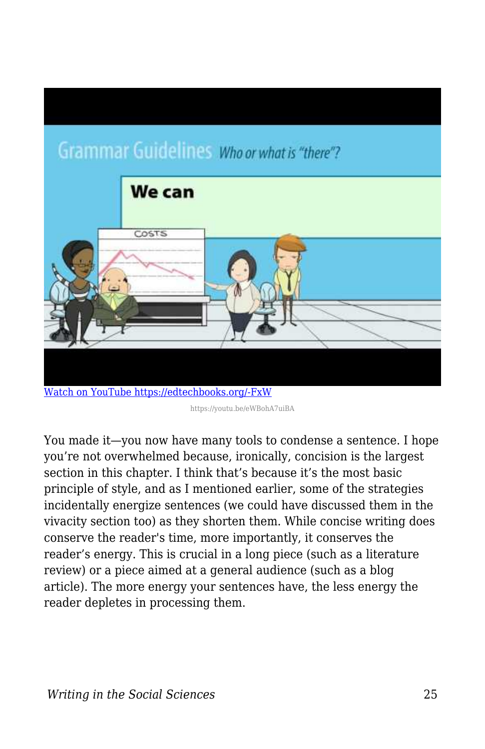# **Grammar Guidelines Whoor what is "there"?**



https://youtu.be/eWBohA7uiBA

You made it—you now have many tools to condense a sentence. I hope you're not overwhelmed because, ironically, concision is the largest section in this chapter. I think that's because it's the most basic principle of style, and as I mentioned earlier, some of the strategies incidentally energize sentences (we could have discussed them in the vivacity section too) as they shorten them. While concise writing does conserve the reader's time, more importantly, it conserves the reader's energy. This is crucial in a long piece (such as a literature review) or a piece aimed at a general audience (such as a blog article). The more energy your sentences have, the less energy the reader depletes in processing them.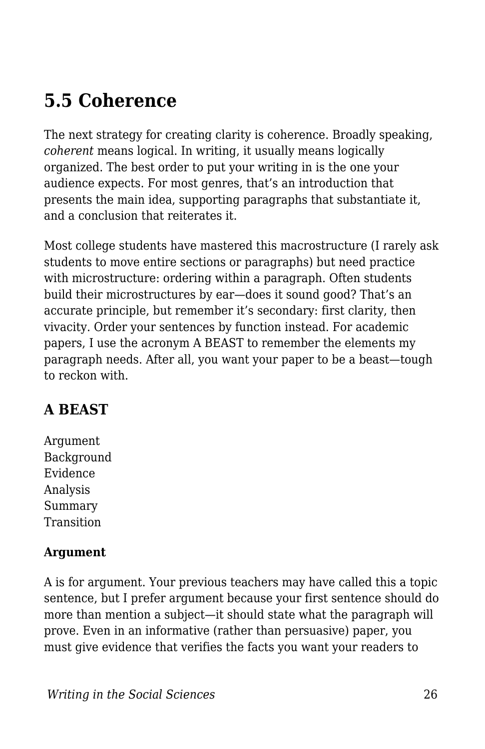# **5.5 Coherence**

The next strategy for creating clarity is coherence. Broadly speaking, *coherent* means logical. In writing, it usually means logically organized. The best order to put your writing in is the one your audience expects. For most genres, that's an introduction that presents the main idea, supporting paragraphs that substantiate it, and a conclusion that reiterates it.

Most college students have mastered this macrostructure (I rarely ask students to move entire sections or paragraphs) but need practice with microstructure: ordering within a paragraph. Often students build their microstructures by ear—does it sound good? That's an accurate principle, but remember it's secondary: first clarity, then vivacity. Order your sentences by function instead. For academic papers, I use the acronym A BEAST to remember the elements my paragraph needs. After all, you want your paper to be a beast—tough to reckon with.

# **A BEAST**

Argument Background Evidence Analysis Summary Transition

#### **Argument**

A is for argument. Your previous teachers may have called this a topic sentence, but I prefer argument because your first sentence should do more than mention a subject—it should state what the paragraph will prove. Even in an informative (rather than persuasive) paper, you must give evidence that verifies the facts you want your readers to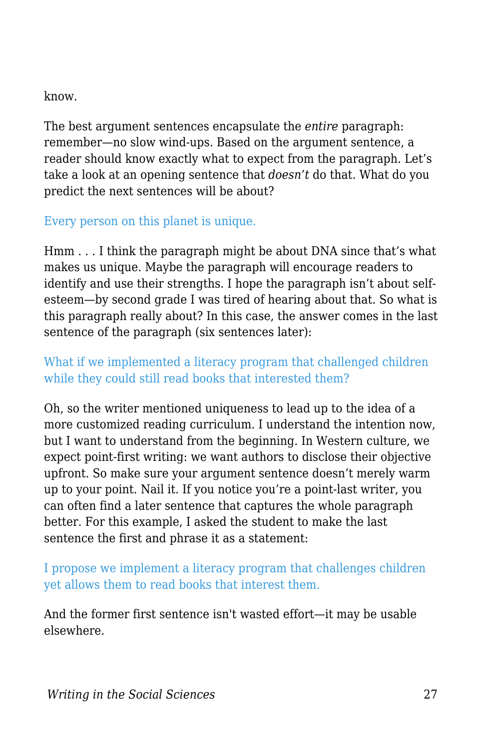know.

The best argument sentences encapsulate the *entire* paragraph: remember—no slow wind-ups. Based on the argument sentence, a reader should know exactly what to expect from the paragraph. Let's take a look at an opening sentence that *doesn't* do that. What do you predict the next sentences will be about?

#### Every person on this planet is unique.

Hmm . . . I think the paragraph might be about DNA since that's what makes us unique. Maybe the paragraph will encourage readers to identify and use their strengths. I hope the paragraph isn't about selfesteem—by second grade I was tired of hearing about that. So what is this paragraph really about? In this case, the answer comes in the last sentence of the paragraph (six sentences later):

#### What if we implemented a literacy program that challenged children while they could still read books that interested them?

Oh, so the writer mentioned uniqueness to lead up to the idea of a more customized reading curriculum. I understand the intention now, but I want to understand from the beginning. In Western culture, we expect point-first writing: we want authors to disclose their objective upfront. So make sure your argument sentence doesn't merely warm up to your point. Nail it. If you notice you're a point-last writer, you can often find a later sentence that captures the whole paragraph better. For this example, I asked the student to make the last sentence the first and phrase it as a statement:

#### I propose we implement a literacy program that challenges children yet allows them to read books that interest them.

And the former first sentence isn't wasted effort—it may be usable elsewhere.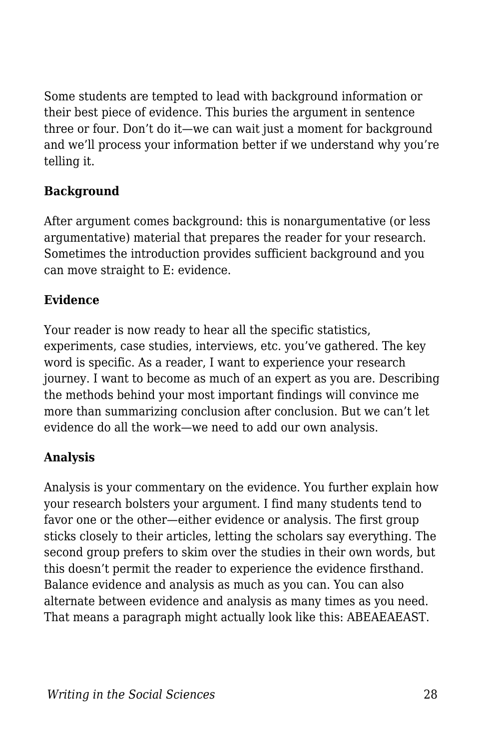Some students are tempted to lead with background information or their best piece of evidence. This buries the argument in sentence three or four. Don't do it—we can wait just a moment for background and we'll process your information better if we understand why you're telling it.

#### **Background**

After argument comes background: this is nonargumentative (or less argumentative) material that prepares the reader for your research. Sometimes the introduction provides sufficient background and you can move straight to E: evidence.

#### **Evidence**

Your reader is now ready to hear all the specific statistics, experiments, case studies, interviews, etc. you've gathered. The key word is specific. As a reader, I want to experience your research journey. I want to become as much of an expert as you are. Describing the methods behind your most important findings will convince me more than summarizing conclusion after conclusion. But we can't let evidence do all the work—we need to add our own analysis.

#### **Analysis**

Analysis is your commentary on the evidence. You further explain how your research bolsters your argument. I find many students tend to favor one or the other—either evidence or analysis. The first group sticks closely to their articles, letting the scholars say everything. The second group prefers to skim over the studies in their own words, but this doesn't permit the reader to experience the evidence firsthand. Balance evidence and analysis as much as you can. You can also alternate between evidence and analysis as many times as you need. That means a paragraph might actually look like this: ABEAEAEAST.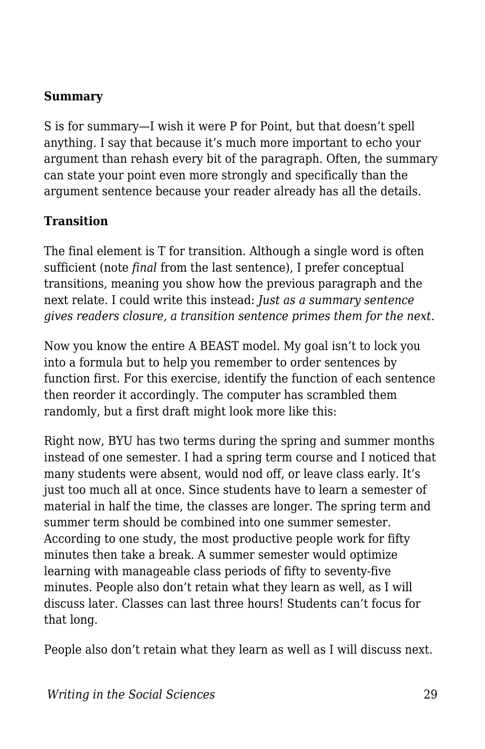#### **Summary**

S is for summary—I wish it were P for Point, but that doesn't spell anything. I say that because it's much more important to echo your argument than rehash every bit of the paragraph. Often, the summary can state your point even more strongly and specifically than the argument sentence because your reader already has all the details.

#### **Transition**

The final element is T for transition. Although a single word is often sufficient (note *final* from the last sentence), I prefer conceptual transitions, meaning you show how the previous paragraph and the next relate. I could write this instead: *Just as a summary sentence gives readers closure, a transition sentence primes them for the next.*

Now you know the entire A BEAST model. My goal isn't to lock you into a formula but to help you remember to order sentences by function first. For this exercise, identify the function of each sentence then reorder it accordingly. The computer has scrambled them randomly, but a first draft might look more like this:

Right now, BYU has two terms during the spring and summer months instead of one semester. I had a spring term course and I noticed that many students were absent, would nod off, or leave class early. It's just too much all at once. Since students have to learn a semester of material in half the time, the classes are longer. The spring term and summer term should be combined into one summer semester. According to one study, the most productive people work for fifty minutes then take a break. A summer semester would optimize learning with manageable class periods of fifty to seventy-five minutes. People also don't retain what they learn as well, as I will discuss later. Classes can last three hours! Students can't focus for that long.

People also don't retain what they learn as well as I will discuss next.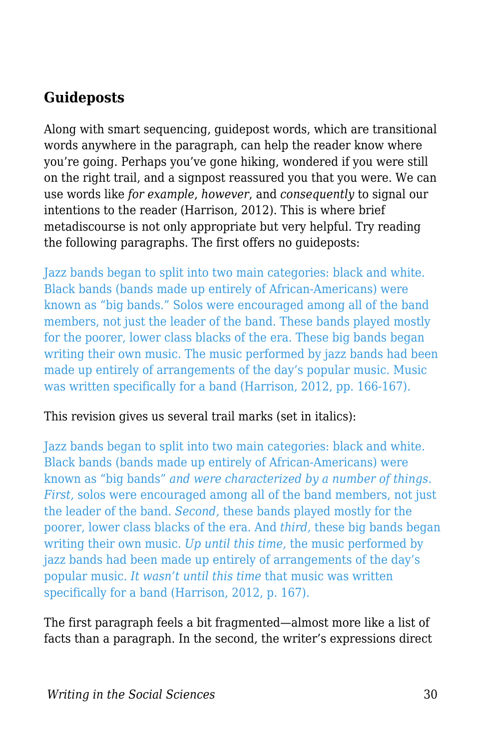### **Guideposts**

Along with smart sequencing, guidepost words, which are transitional words anywhere in the paragraph, can help the reader know where you're going. Perhaps you've gone hiking, wondered if you were still on the right trail, and a signpost reassured you that you were. We can use words like *for example*, *however*, and *consequently* to signal our intentions to the reader (Harrison, 2012). This is where brief metadiscourse is not only appropriate but very helpful. Try reading the following paragraphs. The first offers no guideposts:

Jazz bands began to split into two main categories: black and white. Black bands (bands made up entirely of African-Americans) were known as "big bands." Solos were encouraged among all of the band members, not just the leader of the band. These bands played mostly for the poorer, lower class blacks of the era. These big bands began writing their own music. The music performed by jazz bands had been made up entirely of arrangements of the day's popular music. Music was written specifically for a band (Harrison, 2012, pp. 166-167).

#### This revision gives us several trail marks (set in italics):

Jazz bands began to split into two main categories: black and white. Black bands (bands made up entirely of African-Americans) were known as "big bands" *and were characterized by a number of things. First,* solos were encouraged among all of the band members, not just the leader of the band. *Second,* these bands played mostly for the poorer, lower class blacks of the era. And *third,* these big bands began writing their own music. *Up until this time,* the music performed by jazz bands had been made up entirely of arrangements of the day's popular music. *It wasn't until this time* that music was written specifically for a band (Harrison, 2012, p. 167).

The first paragraph feels a bit fragmented—almost more like a list of facts than a paragraph. In the second, the writer's expressions direct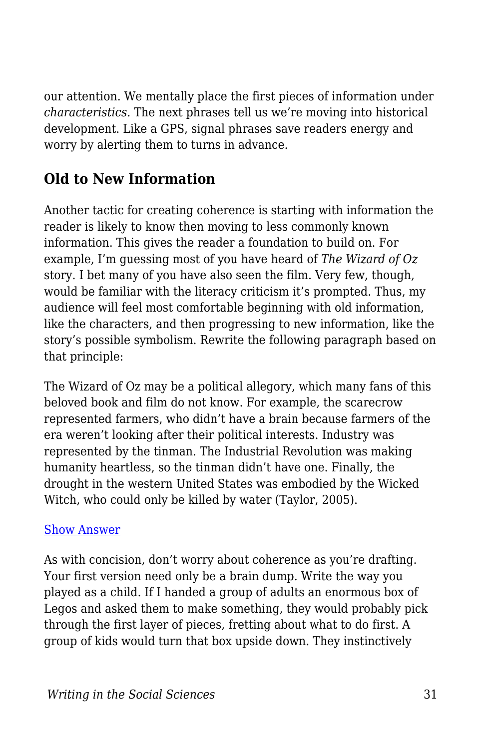our attention. We mentally place the first pieces of information under *characteristics*. The next phrases tell us we're moving into historical development. Like a GPS, signal phrases save readers energy and worry by alerting them to turns in advance.

### **Old to New Information**

Another tactic for creating coherence is starting with information the reader is likely to know then moving to less commonly known information. This gives the reader a foundation to build on. For example, I'm guessing most of you have heard of *The Wizard of Oz* story. I bet many of you have also seen the film. Very few, though, would be familiar with the literacy criticism it's prompted. Thus, my audience will feel most comfortable beginning with old information, like the characters, and then progressing to new information, like the story's possible symbolism. Rewrite the following paragraph based on that principle:

The Wizard of Oz may be a political allegory, which many fans of this beloved book and film do not know. For example, the scarecrow represented farmers, who didn't have a brain because farmers of the era weren't looking after their political interests. Industry was represented by the tinman. The Industrial Revolution was making humanity heartless, so the tinman didn't have one. Finally, the drought in the western United States was embodied by the Wicked Witch, who could only be killed by water (Taylor, 2005).

#### [Show Answer](https://edtechbooks.org/)

As with concision, don't worry about coherence as you're drafting. Your first version need only be a brain dump. Write the way you played as a child. If I handed a group of adults an enormous box of Legos and asked them to make something, they would probably pick through the first layer of pieces, fretting about what to do first. A group of kids would turn that box upside down. They instinctively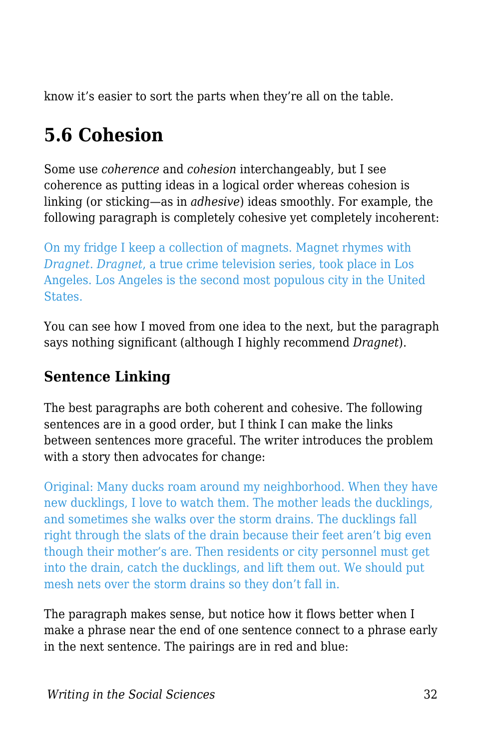know it's easier to sort the parts when they're all on the table.

# **5.6 Cohesion**

Some use *coherence* and *cohesion* interchangeably, but I see coherence as putting ideas in a logical order whereas cohesion is linking (or sticking—as in *adhesive*) ideas smoothly. For example, the following paragraph is completely cohesive yet completely incoherent:

On my fridge I keep a collection of magnets. Magnet rhymes with *Dragnet*. *Dragnet*, a true crime television series, took place in Los Angeles. Los Angeles is the second most populous city in the United States.

You can see how I moved from one idea to the next, but the paragraph says nothing significant (although I highly recommend *Dragnet*).

### **Sentence Linking**

The best paragraphs are both coherent and cohesive. The following sentences are in a good order, but I think I can make the links between sentences more graceful. The writer introduces the problem with a story then advocates for change:

Original: Many ducks roam around my neighborhood. When they have new ducklings, I love to watch them. The mother leads the ducklings, and sometimes she walks over the storm drains. The ducklings fall right through the slats of the drain because their feet aren't big even though their mother's are. Then residents or city personnel must get into the drain, catch the ducklings, and lift them out. We should put mesh nets over the storm drains so they don't fall in.

The paragraph makes sense, but notice how it flows better when I make a phrase near the end of one sentence connect to a phrase early in the next sentence. The pairings are in red and blue: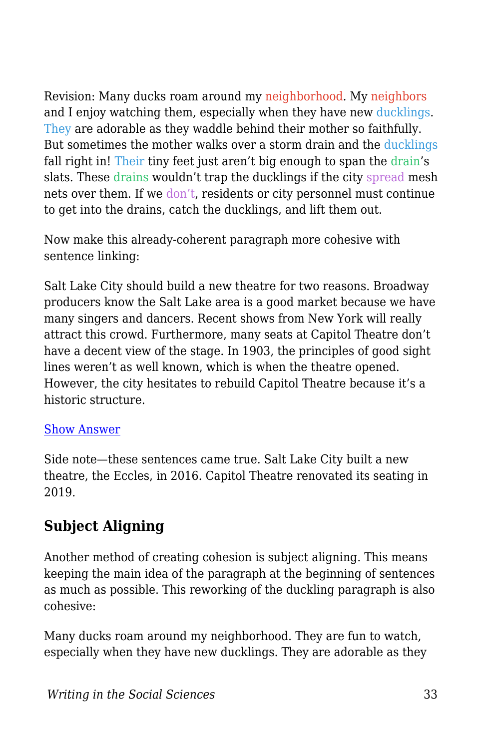Revision: Many ducks roam around my neighborhood. My neighbors and I enjoy watching them, especially when they have new ducklings. They are adorable as they waddle behind their mother so faithfully. But sometimes the mother walks over a storm drain and the ducklings fall right in! Their tiny feet just aren't big enough to span the drain's slats. These drains wouldn't trap the ducklings if the city spread mesh nets over them. If we don't, residents or city personnel must continue to get into the drains, catch the ducklings, and lift them out.

Now make this already-coherent paragraph more cohesive with sentence linking:

Salt Lake City should build a new theatre for two reasons. Broadway producers know the Salt Lake area is a good market because we have many singers and dancers. Recent shows from New York will really attract this crowd. Furthermore, many seats at Capitol Theatre don't have a decent view of the stage. In 1903, the principles of good sight lines weren't as well known, which is when the theatre opened. However, the city hesitates to rebuild Capitol Theatre because it's a historic structure.

#### [Show Answer](https://edtechbooks.org/)

Side note—these sentences came true. Salt Lake City built a new theatre, the Eccles, in 2016. Capitol Theatre renovated its seating in 2019.

### **Subject Aligning**

Another method of creating cohesion is subject aligning. This means keeping the main idea of the paragraph at the beginning of sentences as much as possible. This reworking of the duckling paragraph is also cohesive:

Many ducks roam around my neighborhood. They are fun to watch, especially when they have new ducklings. They are adorable as they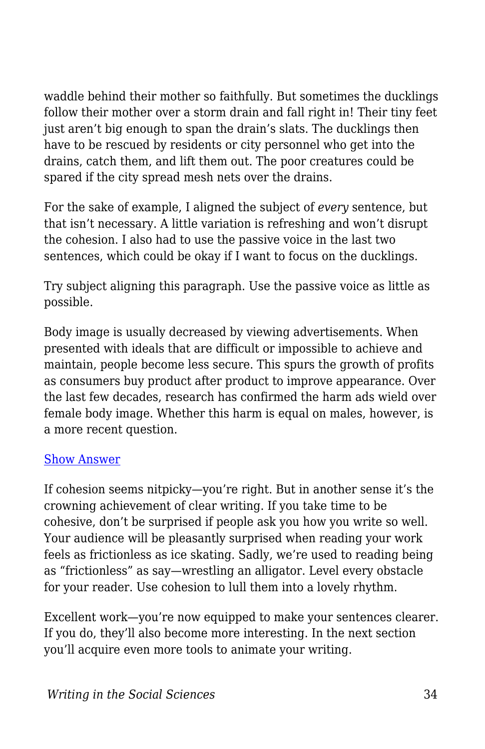waddle behind their mother so faithfully. But sometimes the ducklings follow their mother over a storm drain and fall right in! Their tiny feet just aren't big enough to span the drain's slats. The ducklings then have to be rescued by residents or city personnel who get into the drains, catch them, and lift them out. The poor creatures could be spared if the city spread mesh nets over the drains.

For the sake of example, I aligned the subject of *every* sentence, but that isn't necessary. A little variation is refreshing and won't disrupt the cohesion. I also had to use the passive voice in the last two sentences, which could be okay if I want to focus on the ducklings.

Try subject aligning this paragraph. Use the passive voice as little as possible.

Body image is usually decreased by viewing advertisements. When presented with ideals that are difficult or impossible to achieve and maintain, people become less secure. This spurs the growth of profits as consumers buy product after product to improve appearance. Over the last few decades, research has confirmed the harm ads wield over female body image. Whether this harm is equal on males, however, is a more recent question.

#### [Show Answer](https://edtechbooks.org/)

If cohesion seems nitpicky—you're right. But in another sense it's the crowning achievement of clear writing. If you take time to be cohesive, don't be surprised if people ask you how you write so well. Your audience will be pleasantly surprised when reading your work feels as frictionless as ice skating. Sadly, we're used to reading being as "frictionless" as say—wrestling an alligator. Level every obstacle for your reader. Use cohesion to lull them into a lovely rhythm.

Excellent work—you're now equipped to make your sentences clearer. If you do, they'll also become more interesting. In the next section you'll acquire even more tools to animate your writing.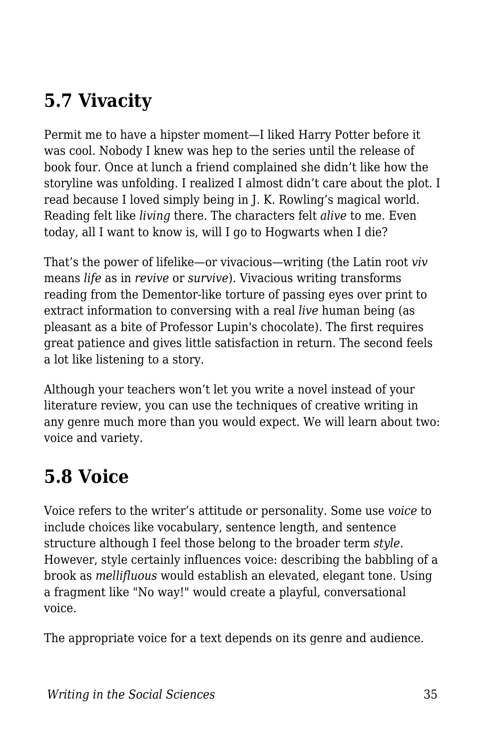# **5.7 Vivacity**

Permit me to have a hipster moment—I liked Harry Potter before it was cool. Nobody I knew was hep to the series until the release of book four. Once at lunch a friend complained she didn't like how the storyline was unfolding. I realized I almost didn't care about the plot. I read because I loved simply being in J. K. Rowling's magical world. Reading felt like *living* there. The characters felt *alive* to me. Even today, all I want to know is, will I go to Hogwarts when I die?

That's the power of lifelike—or vivacious—writing (the Latin root *viv* means *life* as in *revive* or *survive*). Vivacious writing transforms reading from the Dementor-like torture of passing eyes over print to extract information to conversing with a real *live* human being (as pleasant as a bite of Professor Lupin's chocolate). The first requires great patience and gives little satisfaction in return. The second feels a lot like listening to a story.

Although your teachers won't let you write a novel instead of your literature review, you can use the techniques of creative writing in any genre much more than you would expect. We will learn about two: voice and variety.

# **5.8 Voice**

Voice refers to the writer's attitude or personality. Some use *voice* to include choices like vocabulary, sentence length, and sentence structure although I feel those belong to the broader term *style*. However, style certainly influences voice: describing the babbling of a brook as *mellifluous* would establish an elevated, elegant tone. Using a fragment like "No way!" would create a playful, conversational voice.

The appropriate voice for a text depends on its genre and audience.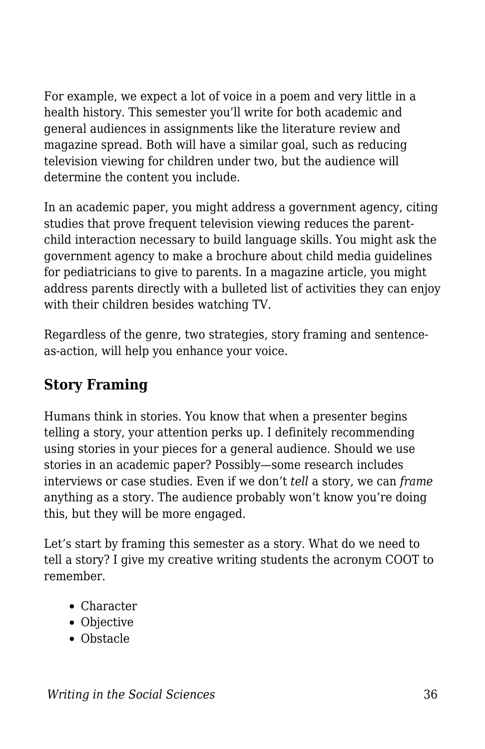For example, we expect a lot of voice in a poem and very little in a health history. This semester you'll write for both academic and general audiences in assignments like the literature review and magazine spread. Both will have a similar goal, such as reducing television viewing for children under two, but the audience will determine the content you include.

In an academic paper, you might address a government agency, citing studies that prove frequent television viewing reduces the parentchild interaction necessary to build language skills. You might ask the government agency to make a brochure about child media guidelines for pediatricians to give to parents. In a magazine article, you might address parents directly with a bulleted list of activities they can enjoy with their children besides watching TV.

Regardless of the genre, two strategies, story framing and sentenceas-action, will help you enhance your voice.

### **Story Framing**

Humans think in stories. You know that when a presenter begins telling a story, your attention perks up. I definitely recommending using stories in your pieces for a general audience. Should we use stories in an academic paper? Possibly—some research includes interviews or case studies. Even if we don't *tell* a story, we can *frame* anything as a story. The audience probably won't know you're doing this, but they will be more engaged.

Let's start by framing this semester as a story. What do we need to tell a story? I give my creative writing students the acronym COOT to remember.

- Character
- Objective
- Obstacle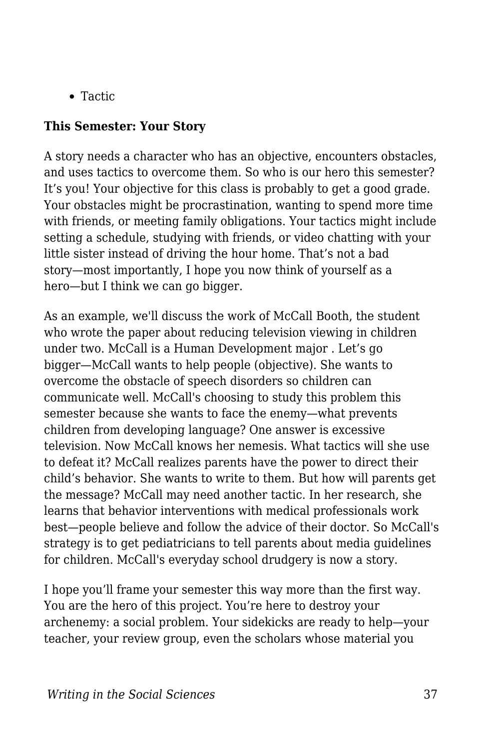• Tactic

#### **This Semester: Your Story**

A story needs a character who has an objective, encounters obstacles, and uses tactics to overcome them. So who is our hero this semester? It's you! Your objective for this class is probably to get a good grade. Your obstacles might be procrastination, wanting to spend more time with friends, or meeting family obligations. Your tactics might include setting a schedule, studying with friends, or video chatting with your little sister instead of driving the hour home. That's not a bad story—most importantly, I hope you now think of yourself as a hero—but I think we can go bigger.

As an example, we'll discuss the work of McCall Booth, the student who wrote the paper about reducing television viewing in children under two. McCall is a Human Development major . Let's go bigger—McCall wants to help people (objective). She wants to overcome the obstacle of speech disorders so children can communicate well. McCall's choosing to study this problem this semester because she wants to face the enemy—what prevents children from developing language? One answer is excessive television. Now McCall knows her nemesis. What tactics will she use to defeat it? McCall realizes parents have the power to direct their child's behavior. She wants to write to them. But how will parents get the message? McCall may need another tactic. In her research, she learns that behavior interventions with medical professionals work best—people believe and follow the advice of their doctor. So McCall's strategy is to get pediatricians to tell parents about media guidelines for children. McCall's everyday school drudgery is now a story.

I hope you'll frame your semester this way more than the first way. You are the hero of this project. You're here to destroy your archenemy: a social problem. Your sidekicks are ready to help—your teacher, your review group, even the scholars whose material you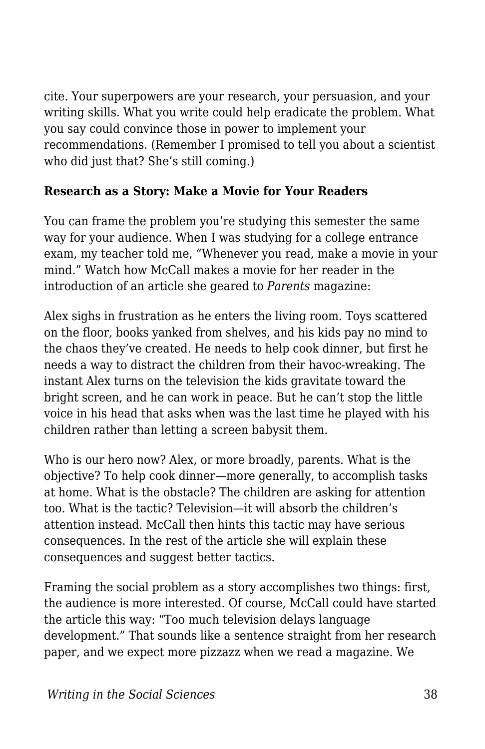cite. Your superpowers are your research, your persuasion, and your writing skills. What you write could help eradicate the problem. What you say could convince those in power to implement your recommendations. (Remember I promised to tell you about a scientist who did just that? She's still coming.)

#### **Research as a Story: Make a Movie for Your Readers**

You can frame the problem you're studying this semester the same way for your audience. When I was studying for a college entrance exam, my teacher told me, "Whenever you read, make a movie in your mind." Watch how McCall makes a movie for her reader in the introduction of an article she geared to *Parents* magazine:

Alex sighs in frustration as he enters the living room. Toys scattered on the floor, books yanked from shelves, and his kids pay no mind to the chaos they've created. He needs to help cook dinner, but first he needs a way to distract the children from their havoc-wreaking. The instant Alex turns on the television the kids gravitate toward the bright screen, and he can work in peace. But he can't stop the little voice in his head that asks when was the last time he played with his children rather than letting a screen babysit them.

Who is our hero now? Alex, or more broadly, parents. What is the objective? To help cook dinner—more generally, to accomplish tasks at home. What is the obstacle? The children are asking for attention too. What is the tactic? Television—it will absorb the children's attention instead. McCall then hints this tactic may have serious consequences. In the rest of the article she will explain these consequences and suggest better tactics.

Framing the social problem as a story accomplishes two things: first, the audience is more interested. Of course, McCall could have started the article this way: "Too much television delays language development." That sounds like a sentence straight from her research paper, and we expect more pizzazz when we read a magazine. We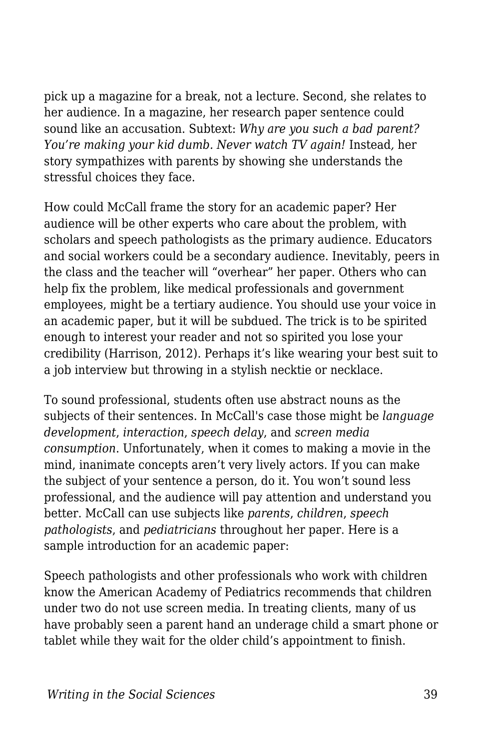pick up a magazine for a break, not a lecture. Second, she relates to her audience. In a magazine, her research paper sentence could sound like an accusation. Subtext: *Why are you such a bad parent? You're making your kid dumb. Never watch TV again!* Instead*,* her story sympathizes with parents by showing she understands the stressful choices they face.

How could McCall frame the story for an academic paper? Her audience will be other experts who care about the problem, with scholars and speech pathologists as the primary audience. Educators and social workers could be a secondary audience. Inevitably, peers in the class and the teacher will "overhear" her paper. Others who can help fix the problem, like medical professionals and government employees, might be a tertiary audience. You should use your voice in an academic paper, but it will be subdued. The trick is to be spirited enough to interest your reader and not so spirited you lose your credibility (Harrison, 2012). Perhaps it's like wearing your best suit to a job interview but throwing in a stylish necktie or necklace.

To sound professional, students often use abstract nouns as the subjects of their sentences. In McCall's case those might be *language development*, *interaction*, *speech delay*, and *screen media consumption*. Unfortunately, when it comes to making a movie in the mind, inanimate concepts aren't very lively actors. If you can make the subject of your sentence a person, do it. You won't sound less professional, and the audience will pay attention and understand you better. McCall can use subjects like *parents*, *children*, *speech pathologists*, and *pediatricians* throughout her paper. Here is a sample introduction for an academic paper:

Speech pathologists and other professionals who work with children know the American Academy of Pediatrics recommends that children under two do not use screen media. In treating clients, many of us have probably seen a parent hand an underage child a smart phone or tablet while they wait for the older child's appointment to finish.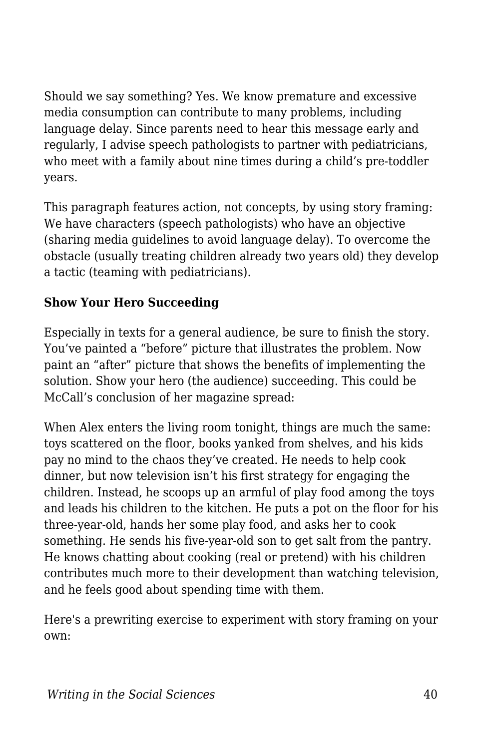Should we say something? Yes. We know premature and excessive media consumption can contribute to many problems, including language delay. Since parents need to hear this message early and regularly, I advise speech pathologists to partner with pediatricians, who meet with a family about nine times during a child's pre-toddler years.

This paragraph features action, not concepts, by using story framing: We have characters (speech pathologists) who have an objective (sharing media guidelines to avoid language delay). To overcome the obstacle (usually treating children already two years old) they develop a tactic (teaming with pediatricians).

#### **Show Your Hero Succeeding**

Especially in texts for a general audience, be sure to finish the story. You've painted a "before" picture that illustrates the problem. Now paint an "after" picture that shows the benefits of implementing the solution. Show your hero (the audience) succeeding. This could be McCall's conclusion of her magazine spread:

When Alex enters the living room tonight, things are much the same: toys scattered on the floor, books yanked from shelves, and his kids pay no mind to the chaos they've created. He needs to help cook dinner, but now television isn't his first strategy for engaging the children. Instead, he scoops up an armful of play food among the toys and leads his children to the kitchen. He puts a pot on the floor for his three-year-old, hands her some play food, and asks her to cook something. He sends his five-year-old son to get salt from the pantry. He knows chatting about cooking (real or pretend) with his children contributes much more to their development than watching television, and he feels good about spending time with them.

Here's a prewriting exercise to experiment with story framing on your own: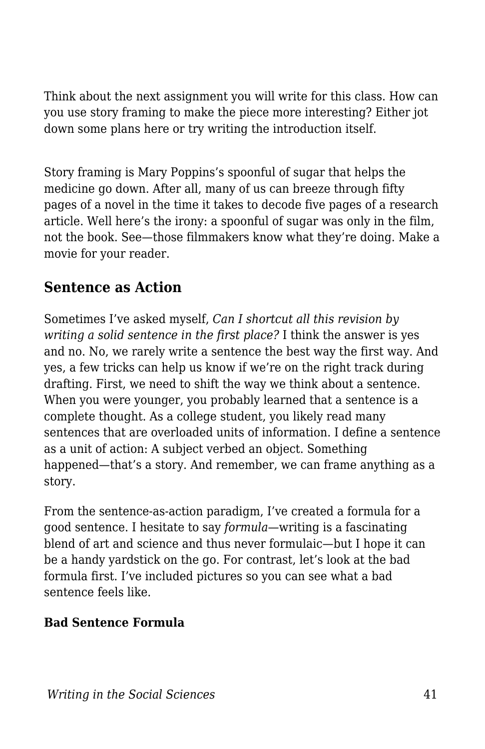Think about the next assignment you will write for this class. How can you use story framing to make the piece more interesting? Either jot down some plans here or try writing the introduction itself.

Story framing is Mary Poppins's spoonful of sugar that helps the medicine go down. After all, many of us can breeze through fifty pages of a novel in the time it takes to decode five pages of a research article. Well here's the irony: a spoonful of sugar was only in the film, not the book. See—those filmmakers know what they're doing. Make a movie for your reader.

### **Sentence as Action**

Sometimes I've asked myself, *Can I shortcut all this revision by writing a solid sentence in the first place?* I think the answer is yes and no. No, we rarely write a sentence the best way the first way. And yes, a few tricks can help us know if we're on the right track during drafting. First, we need to shift the way we think about a sentence. When you were younger, you probably learned that a sentence is a complete thought. As a college student, you likely read many sentences that are overloaded units of information. I define a sentence as a unit of action: A subject verbed an object. Something happened—that's a story. And remember, we can frame anything as a story.

From the sentence-as-action paradigm, I've created a formula for a good sentence. I hesitate to say *formula*—writing is a fascinating blend of art and science and thus never formulaic—but I hope it can be a handy yardstick on the go. For contrast, let's look at the bad formula first. I've included pictures so you can see what a bad sentence feels like.

#### **Bad Sentence Formula**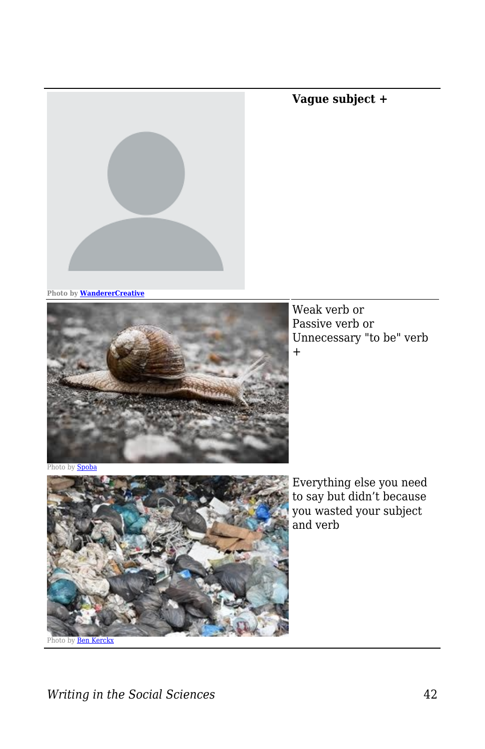**Photo by [WandererCreative](https://pixabay.com/vectors/blank-profile-picture-mystery-man-973460/)**



Weak verb or Passive verb or Unnecessary "to be" verb +

**Vague subject +**

Photo by **[Spoba](https://pixabay.com/photos/snail-slowly-bauchfuesser-slimy-3314321/)** 



Everything else you need to say but didn't because you wasted your subject and verb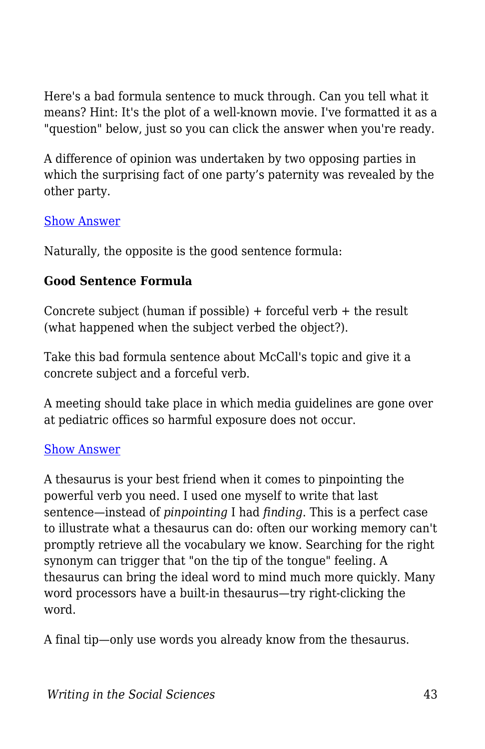Here's a bad formula sentence to muck through. Can you tell what it means? Hint: It's the plot of a well-known movie. I've formatted it as a "question" below, just so you can click the answer when you're ready.

A difference of opinion was undertaken by two opposing parties in which the surprising fact of one party's paternity was revealed by the other party.

#### [Show Answer](https://edtechbooks.org/)

Naturally, the opposite is the good sentence formula:

#### **Good Sentence Formula**

Concrete subject (human if possible)  $+$  forceful verb  $+$  the result (what happened when the subject verbed the object?).

Take this bad formula sentence about McCall's topic and give it a concrete subject and a forceful verb.

A meeting should take place in which media guidelines are gone over at pediatric offices so harmful exposure does not occur.

#### [Show Answer](https://edtechbooks.org/)

A thesaurus is your best friend when it comes to pinpointing the powerful verb you need. I used one myself to write that last sentence—instead of *pinpointing* I had *finding*. This is a perfect case to illustrate what a thesaurus can do: often our working memory can't promptly retrieve all the vocabulary we know. Searching for the right synonym can trigger that "on the tip of the tongue" feeling. A thesaurus can bring the ideal word to mind much more quickly. Many word processors have a built-in thesaurus—try right-clicking the word.

A final tip—only use words you already know from the thesaurus.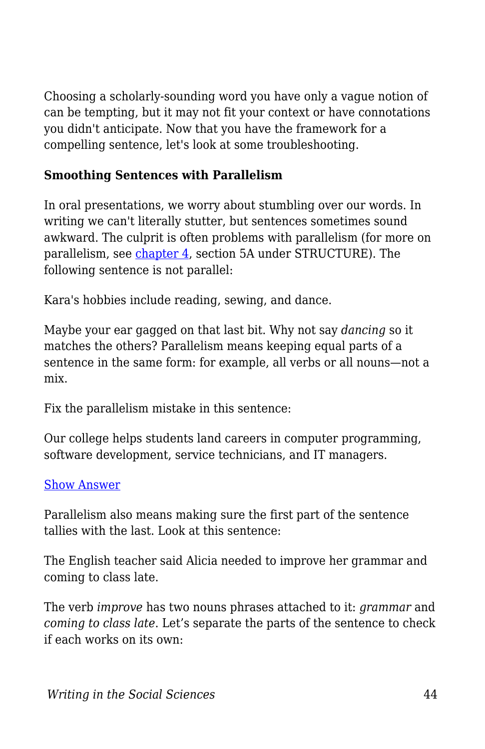Choosing a scholarly-sounding word you have only a vague notion of can be tempting, but it may not fit your context or have connotations you didn't anticipate. Now that you have the framework for a compelling sentence, let's look at some troubleshooting.

#### **Smoothing Sentences with Parallelism**

In oral presentations, we worry about stumbling over our words. In writing we can't literally stutter, but sentences sometimes sound awkward. The culprit is often problems with parallelism (for more on parallelism, see [chapter 4](https://edtechbooks.org/writing/grammar_mechanics), section 5A under STRUCTURE). The following sentence is not parallel:

Kara's hobbies include reading, sewing, and dance.

Maybe your ear gagged on that last bit. Why not say *dancing* so it matches the others? Parallelism means keeping equal parts of a sentence in the same form: for example, all verbs or all nouns—not a mix.

Fix the parallelism mistake in this sentence:

Our college helps students land careers in computer programming, software development, service technicians, and IT managers.

#### [Show Answer](https://edtechbooks.org/)

Parallelism also means making sure the first part of the sentence tallies with the last. Look at this sentence:

The English teacher said Alicia needed to improve her grammar and coming to class late.

The verb *improve* has two nouns phrases attached to it: *grammar* and *coming to class late*. Let's separate the parts of the sentence to check if each works on its own: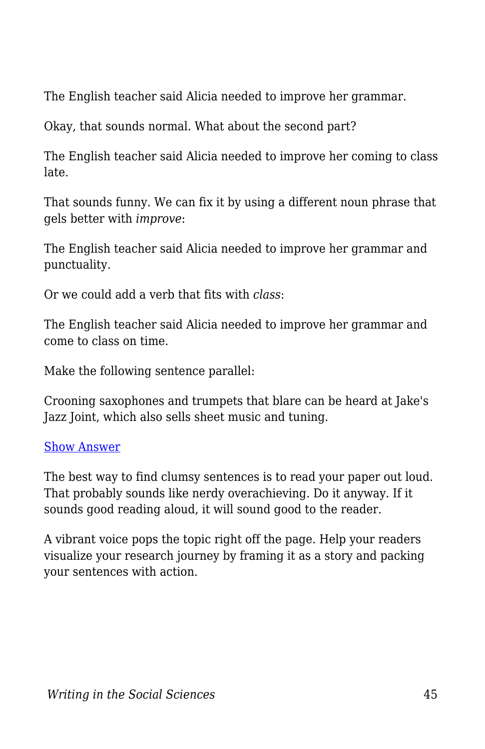The English teacher said Alicia needed to improve her grammar.

Okay, that sounds normal. What about the second part?

The English teacher said Alicia needed to improve her coming to class late.

That sounds funny. We can fix it by using a different noun phrase that gels better with *improve*:

The English teacher said Alicia needed to improve her grammar and punctuality.

Or we could add a verb that fits with *class*:

The English teacher said Alicia needed to improve her grammar and come to class on time.

Make the following sentence parallel:

Crooning saxophones and trumpets that blare can be heard at Jake's Jazz Joint, which also sells sheet music and tuning.

#### [Show Answer](https://edtechbooks.org/)

The best way to find clumsy sentences is to read your paper out loud. That probably sounds like nerdy overachieving. Do it anyway. If it sounds good reading aloud, it will sound good to the reader.

A vibrant voice pops the topic right off the page. Help your readers visualize your research journey by framing it as a story and packing your sentences with action.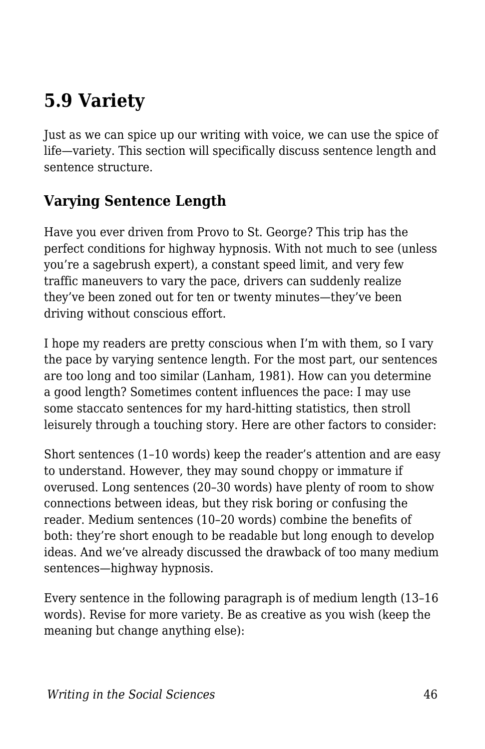# **5.9 Variety**

Just as we can spice up our writing with voice, we can use the spice of life—variety. This section will specifically discuss sentence length and sentence structure.

# **Varying Sentence Length**

Have you ever driven from Provo to St. George? This trip has the perfect conditions for highway hypnosis. With not much to see (unless you're a sagebrush expert), a constant speed limit, and very few traffic maneuvers to vary the pace, drivers can suddenly realize they've been zoned out for ten or twenty minutes—they've been driving without conscious effort.

I hope my readers are pretty conscious when I'm with them, so I vary the pace by varying sentence length. For the most part, our sentences are too long and too similar (Lanham, 1981). How can you determine a good length? Sometimes content influences the pace: I may use some staccato sentences for my hard-hitting statistics, then stroll leisurely through a touching story. Here are other factors to consider:

Short sentences (1–10 words) keep the reader's attention and are easy to understand. However, they may sound choppy or immature if overused. Long sentences (20–30 words) have plenty of room to show connections between ideas, but they risk boring or confusing the reader. Medium sentences (10–20 words) combine the benefits of both: they're short enough to be readable but long enough to develop ideas. And we've already discussed the drawback of too many medium sentences—highway hypnosis.

Every sentence in the following paragraph is of medium length (13–16 words). Revise for more variety. Be as creative as you wish (keep the meaning but change anything else):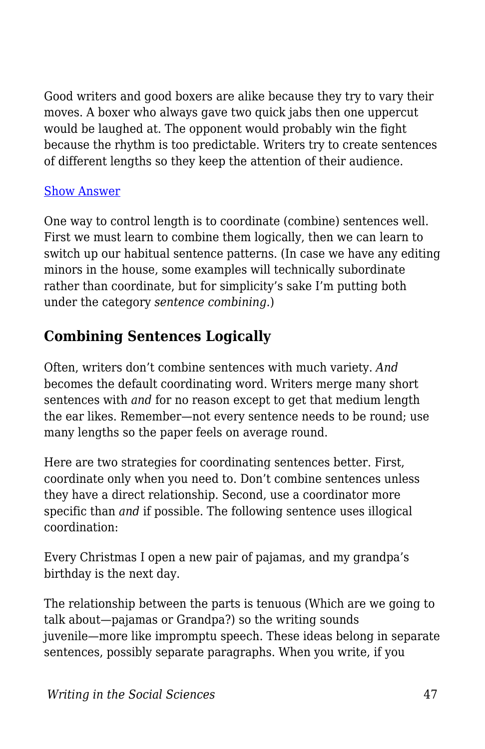Good writers and good boxers are alike because they try to vary their moves. A boxer who always gave two quick jabs then one uppercut would be laughed at. The opponent would probably win the fight because the rhythm is too predictable. Writers try to create sentences of different lengths so they keep the attention of their audience.

#### [Show Answer](https://edtechbooks.org/)

One way to control length is to coordinate (combine) sentences well. First we must learn to combine them logically, then we can learn to switch up our habitual sentence patterns. (In case we have any editing minors in the house, some examples will technically subordinate rather than coordinate, but for simplicity's sake I'm putting both under the category *sentence combining.*)

# **Combining Sentences Logically**

Often, writers don't combine sentences with much variety. *And* becomes the default coordinating word. Writers merge many short sentences with *and* for no reason except to get that medium length the ear likes. Remember—not every sentence needs to be round; use many lengths so the paper feels on average round.

Here are two strategies for coordinating sentences better. First, coordinate only when you need to. Don't combine sentences unless they have a direct relationship. Second, use a coordinator more specific than *and* if possible. The following sentence uses illogical coordination:

Every Christmas I open a new pair of pajamas, and my grandpa's birthday is the next day.

The relationship between the parts is tenuous (Which are we going to talk about—pajamas or Grandpa?) so the writing sounds juvenile—more like impromptu speech. These ideas belong in separate sentences, possibly separate paragraphs. When you write, if you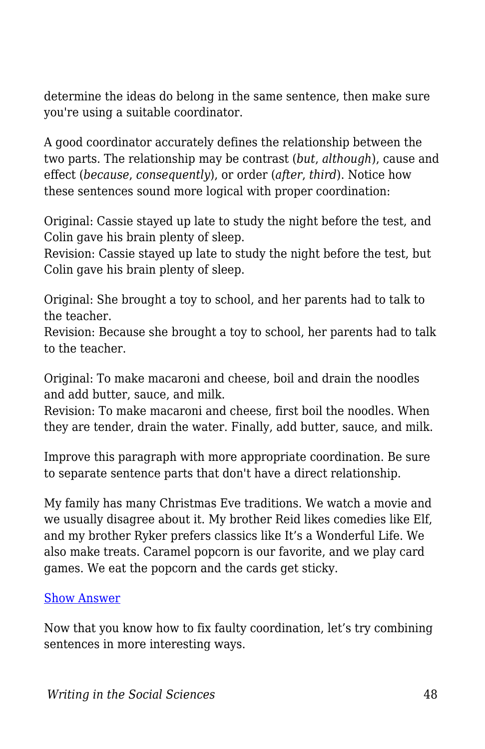determine the ideas do belong in the same sentence, then make sure you're using a suitable coordinator.

A good coordinator accurately defines the relationship between the two parts. The relationship may be contrast (*but*, *although*), cause and effect (*because*, *consequently*), or order (*after*, *third*). Notice how these sentences sound more logical with proper coordination:

Original: Cassie stayed up late to study the night before the test, and Colin gave his brain plenty of sleep.

Revision: Cassie stayed up late to study the night before the test, but Colin gave his brain plenty of sleep.

Original: She brought a toy to school, and her parents had to talk to the teacher.

Revision: Because she brought a toy to school, her parents had to talk to the teacher.

Original: To make macaroni and cheese, boil and drain the noodles and add butter, sauce, and milk.

Revision: To make macaroni and cheese, first boil the noodles. When they are tender, drain the water. Finally, add butter, sauce, and milk.

Improve this paragraph with more appropriate coordination. Be sure to separate sentence parts that don't have a direct relationship.

My family has many Christmas Eve traditions. We watch a movie and we usually disagree about it. My brother Reid likes comedies like Elf, and my brother Ryker prefers classics like It's a Wonderful Life. We also make treats. Caramel popcorn is our favorite, and we play card games. We eat the popcorn and the cards get sticky.

#### [Show Answer](https://edtechbooks.org/)

Now that you know how to fix faulty coordination, let's try combining sentences in more interesting ways.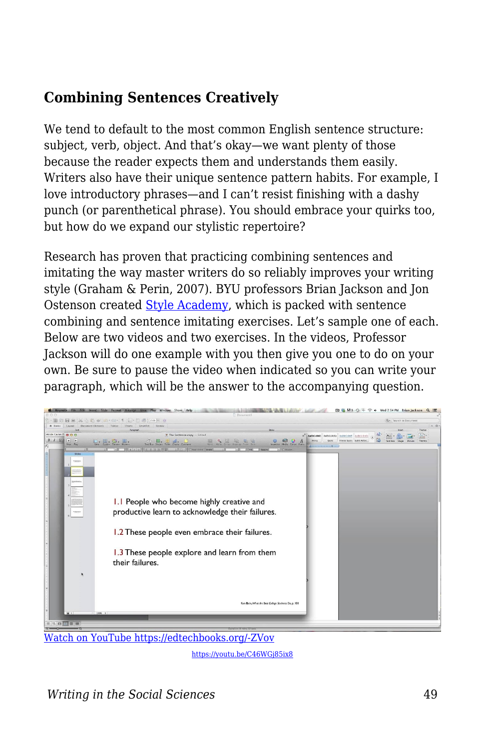### **Combining Sentences Creatively**

We tend to default to the most common English sentence structure: subject, verb, object. And that's okay—we want plenty of those because the reader expects them and understands them easily. Writers also have their unique sentence pattern habits. For example, I love introductory phrases—and I can't resist finishing with a dashy punch (or parenthetical phrase). You should embrace your quirks too, but how do we expand our stylistic repertoire?

Research has proven that practicing combining sentences and imitating the way master writers do so reliably improves your writing style (Graham & Perin, 2007). BYU professors Brian Jackson and Jon Ostenson created [Style Academy](http://styleacademy.byu.edu/), which is packed with sentence combining and sentence imitating exercises. Let's sample one of each. Below are two videos and two exercises. In the videos, Professor Jackson will do one example with you then give you one to do on your own. Be sure to pause the video when indicated so you can write your paragraph, which will be the answer to the accompanying question.



[Watch on YouTube https://edtechbooks.org/-ZVov](https://www.youtube.com/embed/C46WGj85ix8?autoplay=1&rel=0&showinfo=0&modestbranding=1)

<https://youtu.be/C46WGj85ix8>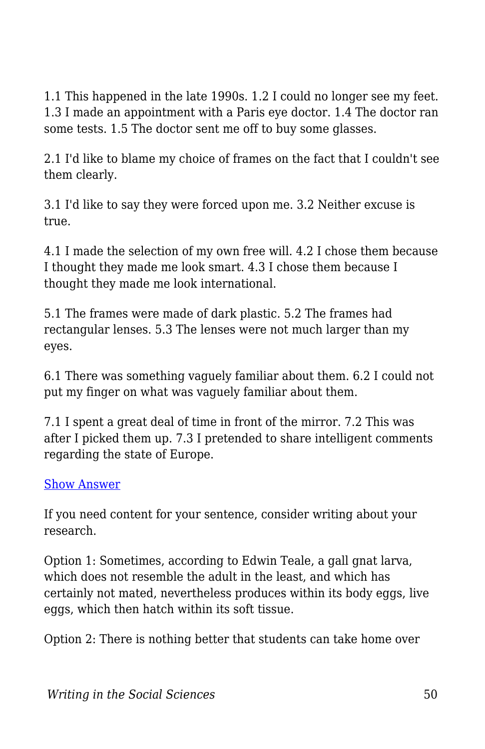1.1 This happened in the late 1990s. 1.2 I could no longer see my feet. 1.3 I made an appointment with a Paris eye doctor. 1.4 The doctor ran some tests. 1.5 The doctor sent me off to buy some glasses.

2.1 I'd like to blame my choice of frames on the fact that I couldn't see them clearly.

3.1 I'd like to say they were forced upon me. 3.2 Neither excuse is true.

4.1 I made the selection of my own free will. 4.2 I chose them because I thought they made me look smart. 4.3 I chose them because I thought they made me look international.

5.1 The frames were made of dark plastic. 5.2 The frames had rectangular lenses. 5.3 The lenses were not much larger than my eyes.

6.1 There was something vaguely familiar about them. 6.2 I could not put my finger on what was vaguely familiar about them.

7.1 I spent a great deal of time in front of the mirror. 7.2 This was after I picked them up. 7.3 I pretended to share intelligent comments regarding the state of Europe.

#### [Show Answer](https://edtechbooks.org/)

If you need content for your sentence, consider writing about your research.

Option 1: Sometimes, according to Edwin Teale, a gall gnat larva, which does not resemble the adult in the least, and which has certainly not mated, nevertheless produces within its body eggs, live eggs, which then hatch within its soft tissue.

Option 2: There is nothing better that students can take home over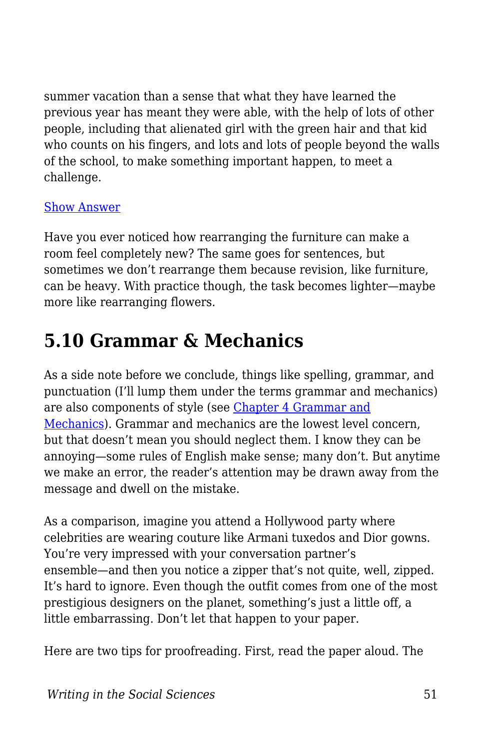summer vacation than a sense that what they have learned the previous year has meant they were able, with the help of lots of other people, including that alienated girl with the green hair and that kid who counts on his fingers, and lots and lots of people beyond the walls of the school, to make something important happen, to meet a challenge.

#### [Show Answer](https://edtechbooks.org/)

Have you ever noticed how rearranging the furniture can make a room feel completely new? The same goes for sentences, but sometimes we don't rearrange them because revision, like furniture, can be heavy. With practice though, the task becomes lighter—maybe more like rearranging flowers.

# **5.10 Grammar & Mechanics**

As a side note before we conclude, things like spelling, grammar, and punctuation (I'll lump them under the terms grammar and mechanics) are also components of style (see [Chapter 4 Grammar and](https://edtechbooks.org/writing/grammar_mechanics) [Mechanics](https://edtechbooks.org/writing/grammar_mechanics)). Grammar and mechanics are the lowest level concern, but that doesn't mean you should neglect them. I know they can be annoying—some rules of English make sense; many don't. But anytime we make an error, the reader's attention may be drawn away from the message and dwell on the mistake.

As a comparison, imagine you attend a Hollywood party where celebrities are wearing couture like Armani tuxedos and Dior gowns. You're very impressed with your conversation partner's ensemble—and then you notice a zipper that's not quite, well, zipped. It's hard to ignore. Even though the outfit comes from one of the most prestigious designers on the planet, something's just a little off, a little embarrassing. Don't let that happen to your paper.

Here are two tips for proofreading. First, read the paper aloud. The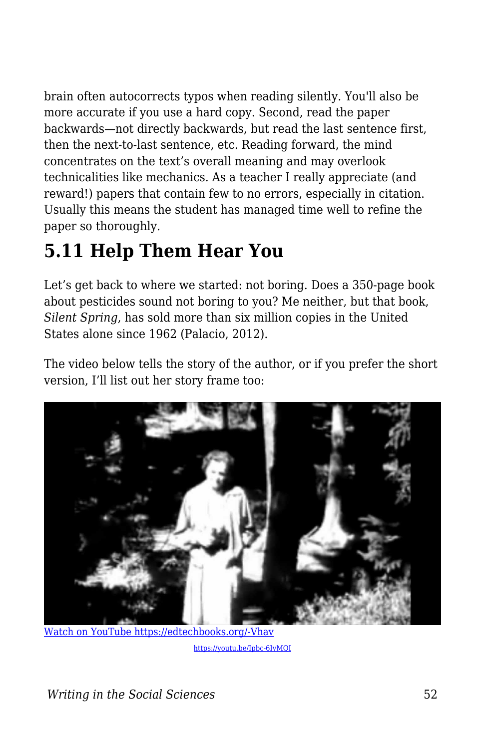brain often autocorrects typos when reading silently. You'll also be more accurate if you use a hard copy. Second, read the paper backwards—not directly backwards, but read the last sentence first, then the next-to-last sentence, etc. Reading forward, the mind concentrates on the text's overall meaning and may overlook technicalities like mechanics. As a teacher I really appreciate (and reward!) papers that contain few to no errors, especially in citation. Usually this means the student has managed time well to refine the paper so thoroughly.

# **5.11 Help Them Hear You**

Let's get back to where we started: not boring. Does a 350-page book about pesticides sound not boring to you? Me neither, but that book, *Silent Spring*, has sold more than six million copies in the United States alone since 1962 (Palacio, 2012).

The video below tells the story of the author, or if you prefer the short version, I'll list out her story frame too:



[Watch on YouTube https://edtechbooks.org/-Vhav](https://www.youtube.com/embed/Ipbc-6IvMQI?autoplay=1&rel=0&showinfo=0&modestbranding=1)

<https://youtu.be/Ipbc-6IvMQI>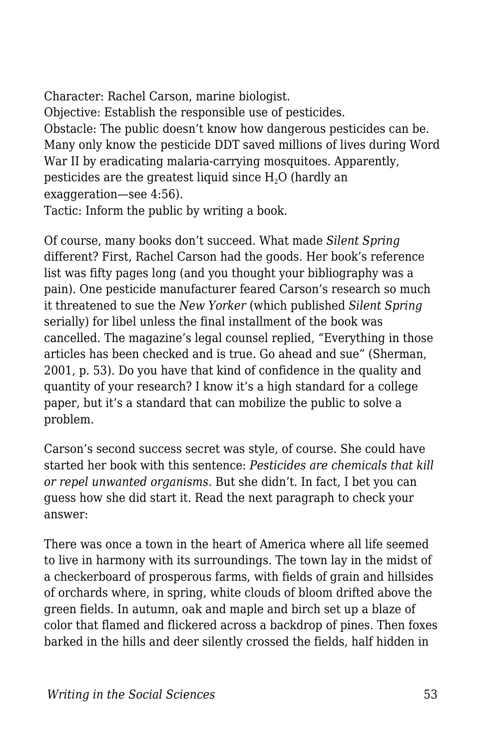Character: Rachel Carson, marine biologist. Objective: Establish the responsible use of pesticides. Obstacle: The public doesn't know how dangerous pesticides can be. Many only know the pesticide DDT saved millions of lives during Word War II by eradicating malaria-carrying mosquitoes. Apparently, pesticides are the greatest liquid since  $H<sub>2</sub>O$  (hardly an exaggeration—see 4:56). Tactic: Inform the public by writing a book.

Of course, many books don't succeed. What made *Silent Spring* different? First, Rachel Carson had the goods. Her book's reference list was fifty pages long (and you thought your bibliography was a pain). One pesticide manufacturer feared Carson's research so much it threatened to sue the *New Yorker* (which published *Silent Spring* serially) for libel unless the final installment of the book was cancelled. The magazine's legal counsel replied, "Everything in those articles has been checked and is true. Go ahead and sue" (Sherman, 2001, p. 53). Do you have that kind of confidence in the quality and quantity of your research? I know it's a high standard for a college paper, but it's a standard that can mobilize the public to solve a problem.

Carson's second success secret was style, of course. She could have started her book with this sentence: *Pesticides are chemicals that kill or repel unwanted organisms*. But she didn't. In fact, I bet you can guess how she did start it. Read the next paragraph to check your answer:

There was once a town in the heart of America where all life seemed to live in harmony with its surroundings. The town lay in the midst of a checkerboard of prosperous farms, with fields of grain and hillsides of orchards where, in spring, white clouds of bloom drifted above the green fields. In autumn, oak and maple and birch set up a blaze of color that flamed and flickered across a backdrop of pines. Then foxes barked in the hills and deer silently crossed the fields, half hidden in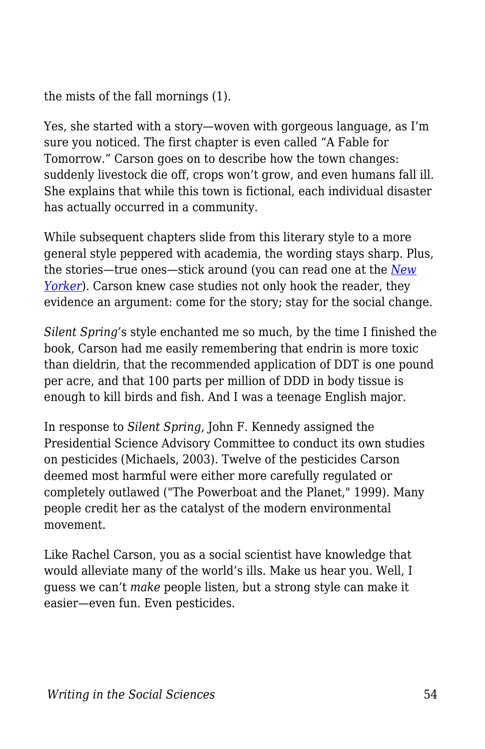the mists of the fall mornings (1).

Yes, she started with a story—woven with gorgeous language, as I'm sure you noticed. The first chapter is even called "A Fable for Tomorrow." Carson goes on to describe how the town changes: suddenly livestock die off, crops won't grow, and even humans fall ill. She explains that while this town is fictional, each individual disaster has actually occurred in a community.

While subsequent chapters slide from this literary style to a more general style peppered with academia, the wording stays sharp. Plus, the stories—true ones—stick around (you can read one at the *[New](https://www.newyorker.com/books/double-take/eighty-five-from-the-archive-rachel-carson) [Yorker](https://www.newyorker.com/books/double-take/eighty-five-from-the-archive-rachel-carson)*). Carson knew case studies not only hook the reader, they evidence an argument: come for the story; stay for the social change.

*Silent Spring'*s style enchanted me so much, by the time I finished the book, Carson had me easily remembering that endrin is more toxic than dieldrin, that the recommended application of DDT is one pound per acre, and that 100 parts per million of DDD in body tissue is enough to kill birds and fish. And I was a teenage English major.

In response to *Silent Spring*, John F. Kennedy assigned the Presidential Science Advisory Committee to conduct its own studies on pesticides (Michaels, 2003). Twelve of the pesticides Carson deemed most harmful were either more carefully regulated or completely outlawed ("The Powerboat and the Planet," 1999). Many people credit her as the catalyst of the modern environmental movement.

Like Rachel Carson, you as a social scientist have knowledge that would alleviate many of the world's ills. Make us hear you. Well, I guess we can't *make* people listen, but a strong style can make it easier—even fun. Even pesticides.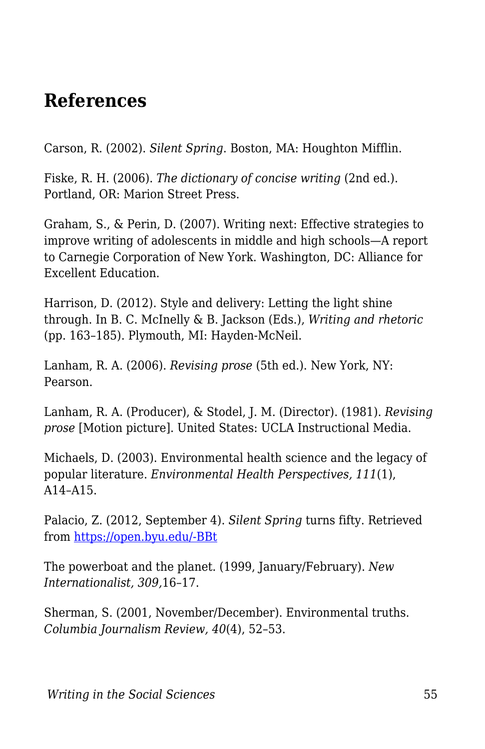# **References**

Carson, R. (2002). *Silent Spring*. Boston, MA: Houghton Mifflin.

Fiske, R. H. (2006). *The dictionary of concise writing* (2nd ed.). Portland, OR: Marion Street Press.

Graham, S., & Perin, D. (2007). Writing next: Effective strategies to improve writing of adolescents in middle and high schools—A report to Carnegie Corporation of New York. Washington, DC: Alliance for Excellent Education.

Harrison, D. (2012). Style and delivery: Letting the light shine through. In B. C. McInelly & B. Jackson (Eds.), *Writing and rhetoric* (pp. 163–185). Plymouth, MI: Hayden-McNeil.

Lanham, R. A. (2006). *Revising prose* (5th ed.). New York, NY: Pearson.

Lanham, R. A. (Producer), & Stodel, J. M. (Director). (1981). *Revising prose* [Motion picture]. United States: UCLA Instructional Media.

Michaels, D. (2003). Environmental health science and the legacy of popular literature. *Environmental Health Perspectives, 111*(1), A14–A15.

Palacio, Z. (2012, September 4). *Silent Spring* turns fifty. Retrieved from [https://open.byu.edu/-BBt](https://www.voanews.com/usa/silent-spring-turns-fifty)

The powerboat and the planet. (1999, January/February). *New Internationalist, 309,*16–17.

Sherman, S. (2001, November/December). Environmental truths. *Columbia Journalism Review, 40*(4), 52–53.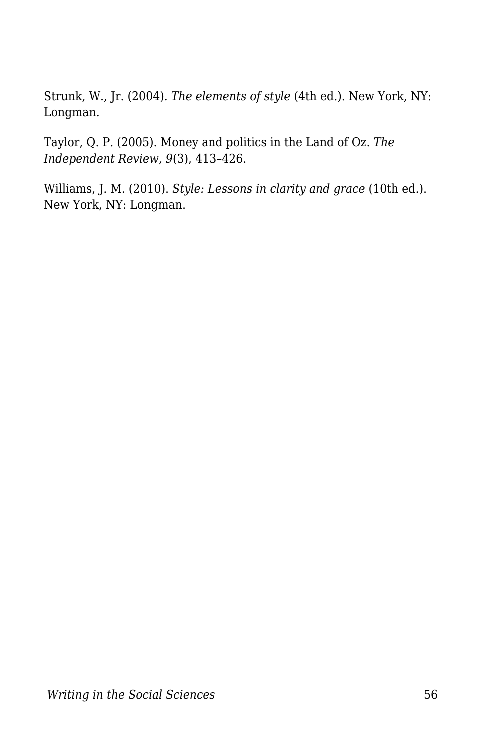Strunk, W., Jr. (2004). *The elements of style* (4th ed.). New York, NY: Longman.

Taylor, Q. P. (2005). Money and politics in the Land of Oz. *The Independent Review, 9*(3), 413–426.

Williams, J. M. (2010). *Style: Lessons in clarity and grace* (10th ed.). New York, NY: Longman.